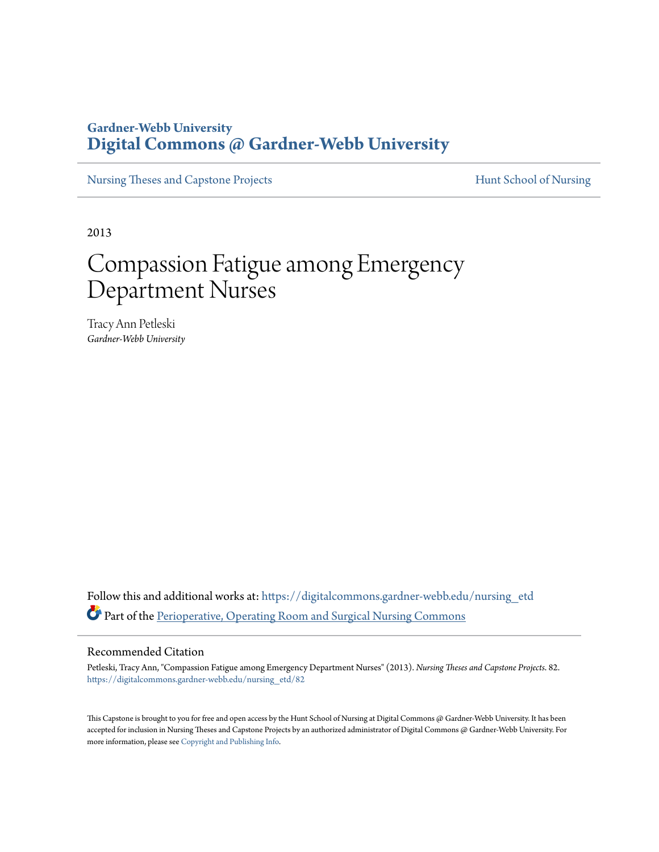# **Gardner-Webb University [Digital Commons @ Gardner-Webb University](https://digitalcommons.gardner-webb.edu?utm_source=digitalcommons.gardner-webb.edu%2Fnursing_etd%2F82&utm_medium=PDF&utm_campaign=PDFCoverPages)**

[Nursing Theses and Capstone Projects](https://digitalcommons.gardner-webb.edu/nursing_etd?utm_source=digitalcommons.gardner-webb.edu%2Fnursing_etd%2F82&utm_medium=PDF&utm_campaign=PDFCoverPages) **[Hunt School of Nursing](https://digitalcommons.gardner-webb.edu/nursing?utm_source=digitalcommons.gardner-webb.edu%2Fnursing_etd%2F82&utm_medium=PDF&utm_campaign=PDFCoverPages)** 

2013

# Compassion Fatigue among Emergency Department Nurses

Tracy Ann Petleski *Gardner-Webb University*

Follow this and additional works at: [https://digitalcommons.gardner-webb.edu/nursing\\_etd](https://digitalcommons.gardner-webb.edu/nursing_etd?utm_source=digitalcommons.gardner-webb.edu%2Fnursing_etd%2F82&utm_medium=PDF&utm_campaign=PDFCoverPages) Part of the [Perioperative, Operating Room and Surgical Nursing Commons](http://network.bepress.com/hgg/discipline/726?utm_source=digitalcommons.gardner-webb.edu%2Fnursing_etd%2F82&utm_medium=PDF&utm_campaign=PDFCoverPages)

### Recommended Citation

Petleski, Tracy Ann, "Compassion Fatigue among Emergency Department Nurses" (2013). *Nursing Theses and Capstone Projects*. 82. [https://digitalcommons.gardner-webb.edu/nursing\\_etd/82](https://digitalcommons.gardner-webb.edu/nursing_etd/82?utm_source=digitalcommons.gardner-webb.edu%2Fnursing_etd%2F82&utm_medium=PDF&utm_campaign=PDFCoverPages)

This Capstone is brought to you for free and open access by the Hunt School of Nursing at Digital Commons @ Gardner-Webb University. It has been accepted for inclusion in Nursing Theses and Capstone Projects by an authorized administrator of Digital Commons @ Gardner-Webb University. For more information, please see [Copyright and Publishing Info](https://digitalcommons.gardner-webb.edu/copyright_publishing.html).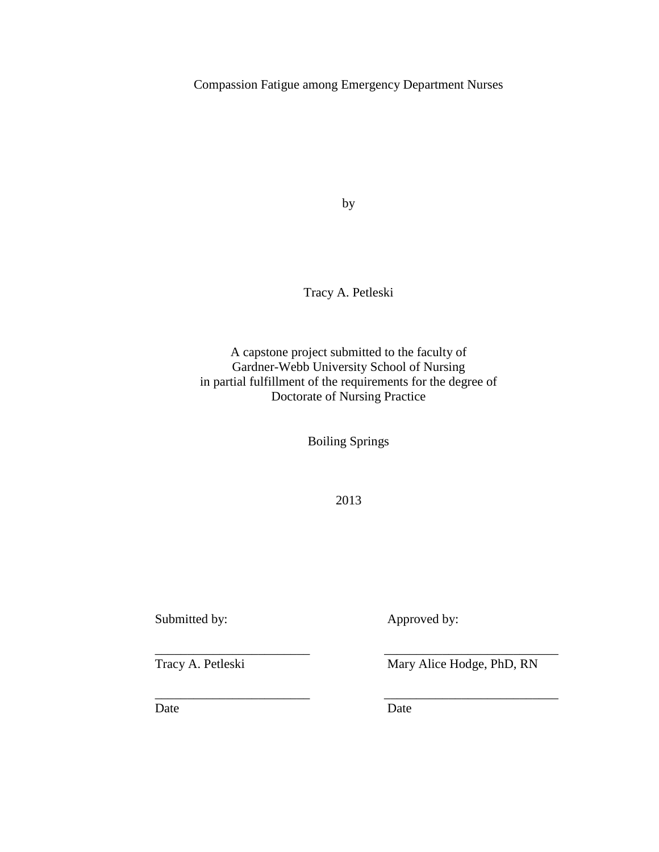Compassion Fatigue among Emergency Department Nurses

by

Tracy A. Petleski

A capstone project submitted to the faculty of Gardner-Webb University School of Nursing in partial fulfillment of the requirements for the degree of Doctorate of Nursing Practice

Boiling Springs

2013

\_\_\_\_\_\_\_\_\_\_\_\_\_\_\_\_\_\_\_\_\_\_\_\_ \_\_\_\_\_\_\_\_\_\_\_\_\_\_\_\_\_\_\_\_\_\_\_\_\_\_\_

\_\_\_\_\_\_\_\_\_\_\_\_\_\_\_\_\_\_\_\_\_\_\_\_ \_\_\_\_\_\_\_\_\_\_\_\_\_\_\_\_\_\_\_\_\_\_\_\_\_\_\_

Submitted by: Approved by:

Tracy A. Petleski Mary Alice Hodge, PhD, RN

Date Date Date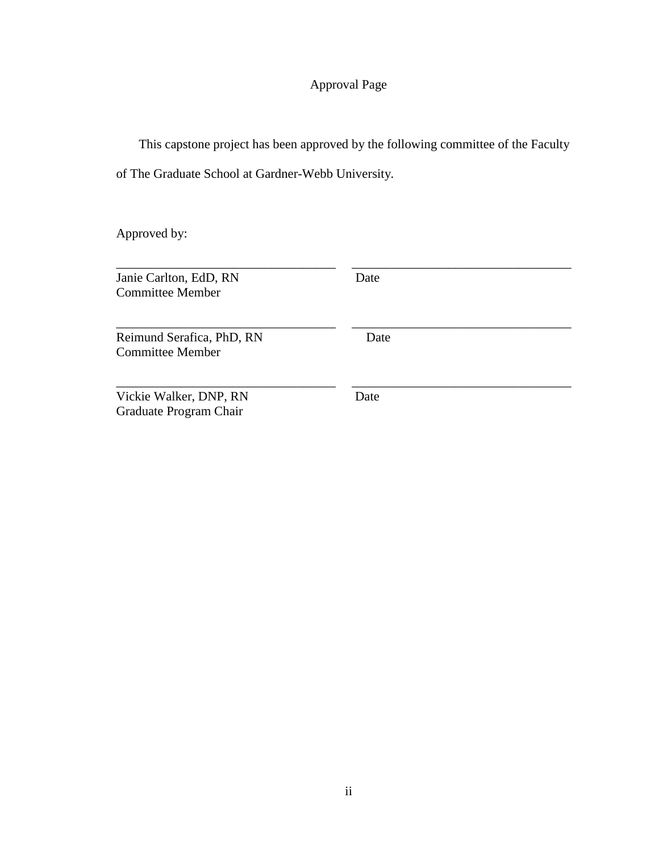# Approval Page

 This capstone project has been approved by the following committee of the Faculty of The Graduate School at Gardner-Webb University.

Approved by:

| Janie Carlton, EdD, RN<br><b>Committee Member</b>    | Date |
|------------------------------------------------------|------|
| Reimund Serafica, PhD, RN<br><b>Committee Member</b> | Date |
| Vickie Walker, DNP, RN<br>Graduate Program Chair     | Date |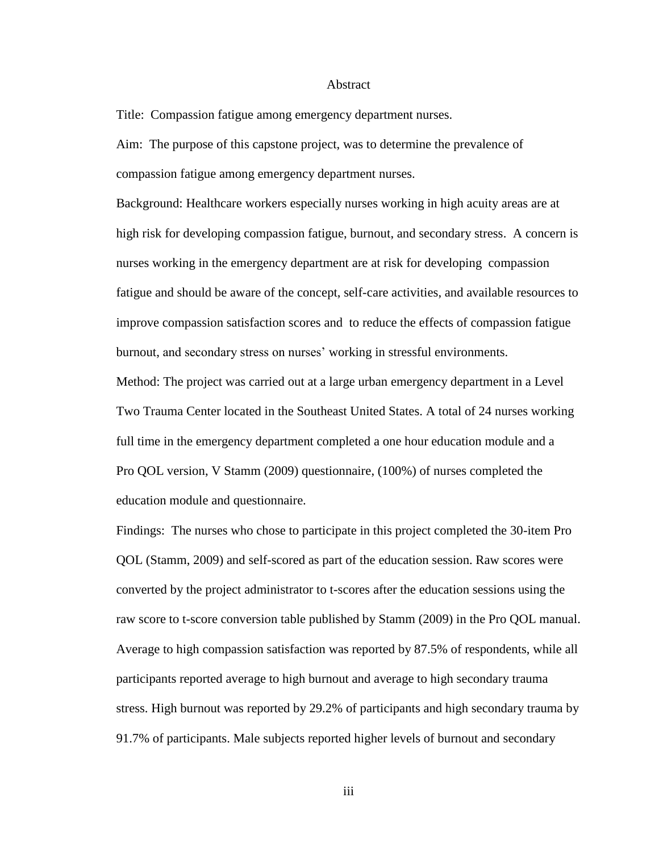#### Abstract

Title: Compassion fatigue among emergency department nurses.

Aim: The purpose of this capstone project, was to determine the prevalence of compassion fatigue among emergency department nurses.

Background: Healthcare workers especially nurses working in high acuity areas are at high risk for developing compassion fatigue, burnout, and secondary stress. A concern is nurses working in the emergency department are at risk for developing compassion fatigue and should be aware of the concept, self-care activities, and available resources to improve compassion satisfaction scores and to reduce the effects of compassion fatigue burnout, and secondary stress on nurses' working in stressful environments.

Method: The project was carried out at a large urban emergency department in a Level Two Trauma Center located in the Southeast United States. A total of 24 nurses working full time in the emergency department completed a one hour education module and a Pro QOL version, V Stamm (2009) questionnaire, (100%) of nurses completed the education module and questionnaire.

Findings: The nurses who chose to participate in this project completed the 30-item Pro QOL (Stamm, 2009) and self-scored as part of the education session. Raw scores were converted by the project administrator to t-scores after the education sessions using the raw score to t-score conversion table published by Stamm (2009) in the Pro QOL manual. Average to high compassion satisfaction was reported by 87.5% of respondents, while all participants reported average to high burnout and average to high secondary trauma stress. High burnout was reported by 29.2% of participants and high secondary trauma by 91.7% of participants. Male subjects reported higher levels of burnout and secondary

iii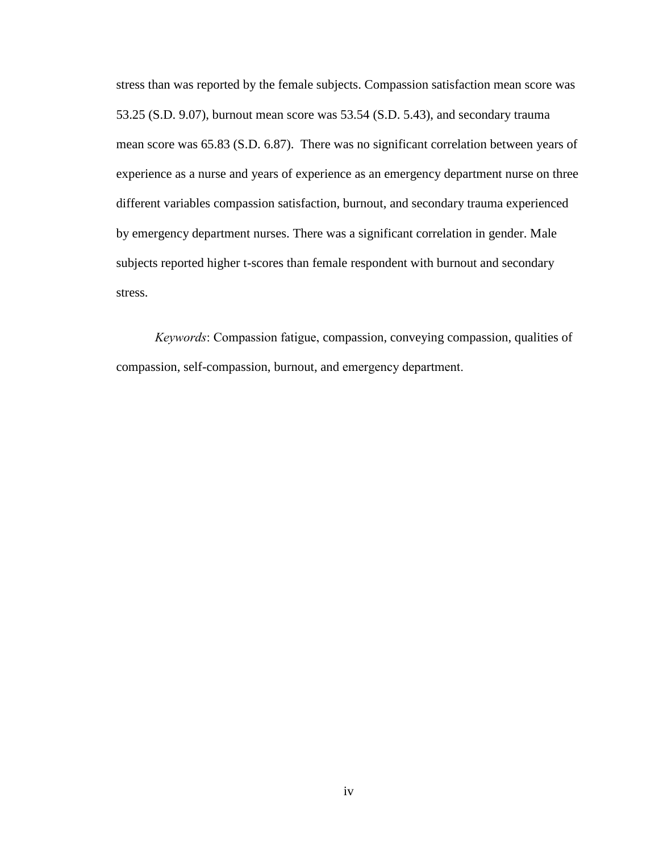stress than was reported by the female subjects. Compassion satisfaction mean score was 53.25 (S.D. 9.07), burnout mean score was 53.54 (S.D. 5.43), and secondary trauma mean score was 65.83 (S.D. 6.87). There was no significant correlation between years of experience as a nurse and years of experience as an emergency department nurse on three different variables compassion satisfaction, burnout, and secondary trauma experienced by emergency department nurses. There was a significant correlation in gender. Male subjects reported higher t-scores than female respondent with burnout and secondary stress.

*Keywords*: Compassion fatigue, compassion, conveying compassion, qualities of compassion, self-compassion, burnout, and emergency department.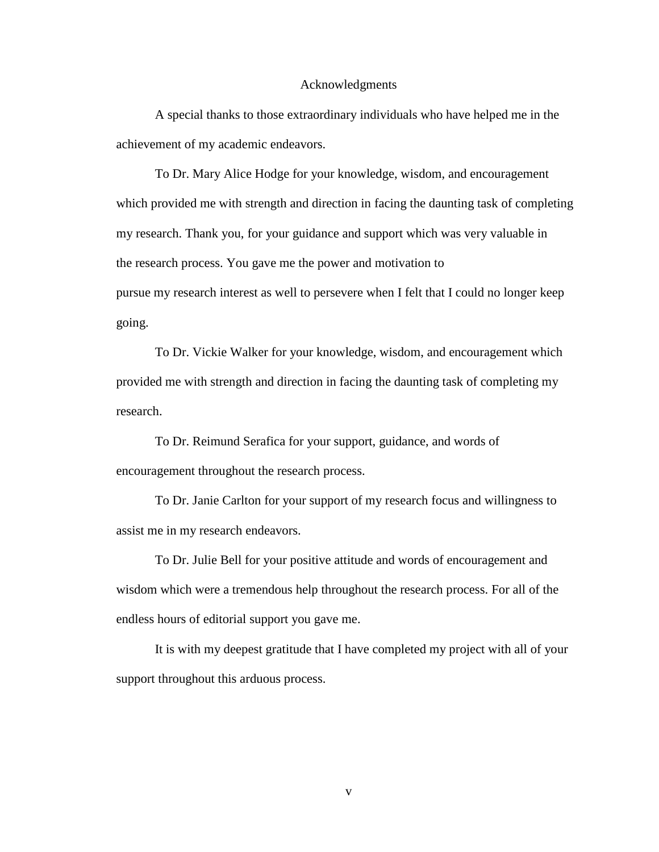#### Acknowledgments

A special thanks to those extraordinary individuals who have helped me in the achievement of my academic endeavors.

To Dr. Mary Alice Hodge for your knowledge, wisdom, and encouragement which provided me with strength and direction in facing the daunting task of completing my research. Thank you, for your guidance and support which was very valuable in the research process. You gave me the power and motivation to pursue my research interest as well to persevere when I felt that I could no longer keep going.

To Dr. Vickie Walker for your knowledge, wisdom, and encouragement which provided me with strength and direction in facing the daunting task of completing my research.

To Dr. Reimund Serafica for your support, guidance, and words of encouragement throughout the research process.

To Dr. Janie Carlton for your support of my research focus and willingness to assist me in my research endeavors.

To Dr. Julie Bell for your positive attitude and words of encouragement and wisdom which were a tremendous help throughout the research process. For all of the endless hours of editorial support you gave me.

It is with my deepest gratitude that I have completed my project with all of your support throughout this arduous process.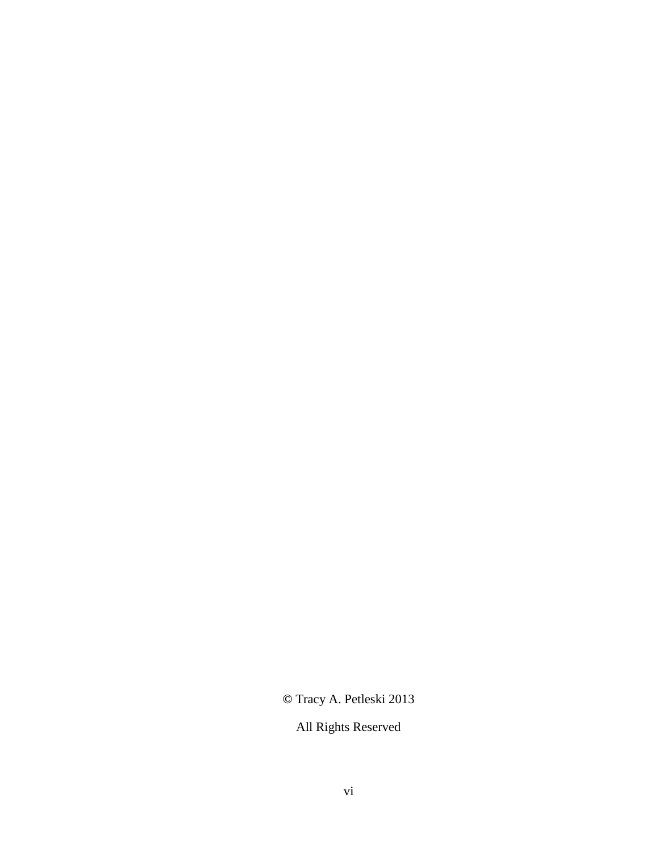**©** Tracy A. Petleski 2013

All Rights Reserved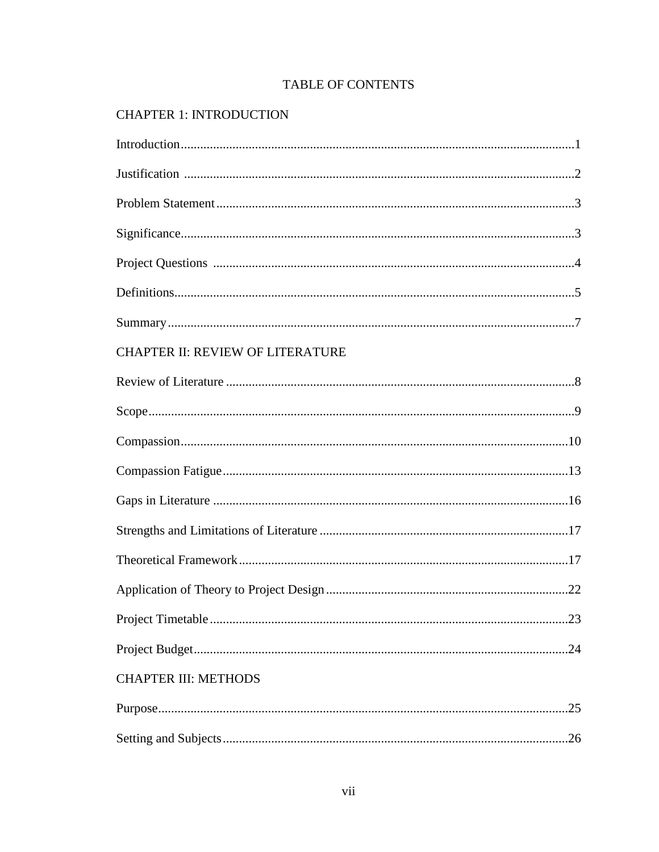# **TABLE OF CONTENTS**

# **CHAPTER 1: INTRODUCTION**

| CHAPTER II: REVIEW OF LITERATURE |
|----------------------------------|
|                                  |
|                                  |
|                                  |
|                                  |
|                                  |
|                                  |
|                                  |
|                                  |
|                                  |
|                                  |
| <b>CHAPTER III: METHODS</b>      |
| .25                              |
|                                  |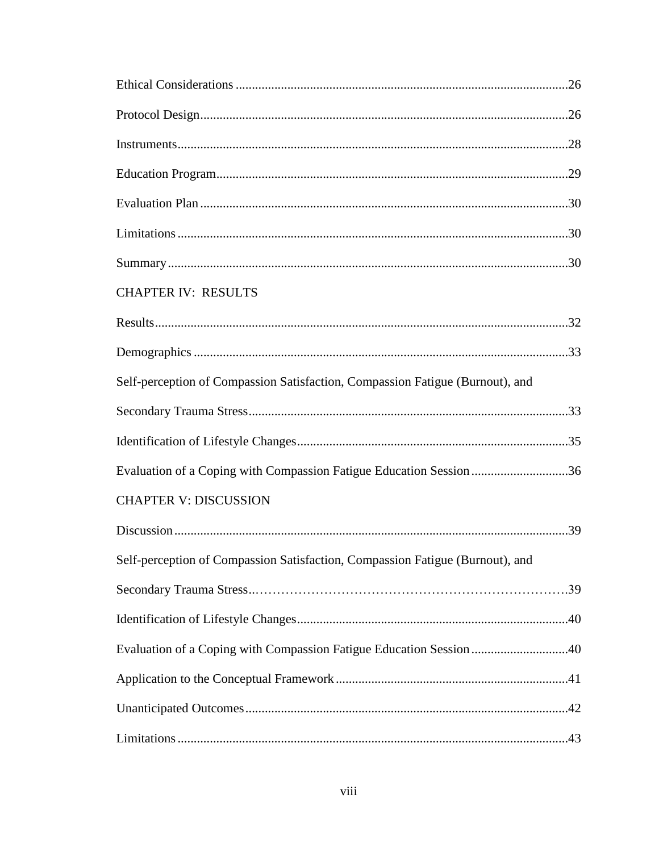| <b>CHAPTER IV: RESULTS</b>                                                    |  |
|-------------------------------------------------------------------------------|--|
|                                                                               |  |
|                                                                               |  |
| Self-perception of Compassion Satisfaction, Compassion Fatigue (Burnout), and |  |
|                                                                               |  |
|                                                                               |  |
| Evaluation of a Coping with Compassion Fatigue Education Session 36           |  |
| <b>CHAPTER V: DISCUSSION</b>                                                  |  |
|                                                                               |  |
| Self-perception of Compassion Satisfaction, Compassion Fatigue (Burnout), and |  |
|                                                                               |  |
|                                                                               |  |
| Evaluation of a Coping with Compassion Fatigue Education Session 40           |  |
|                                                                               |  |
|                                                                               |  |
|                                                                               |  |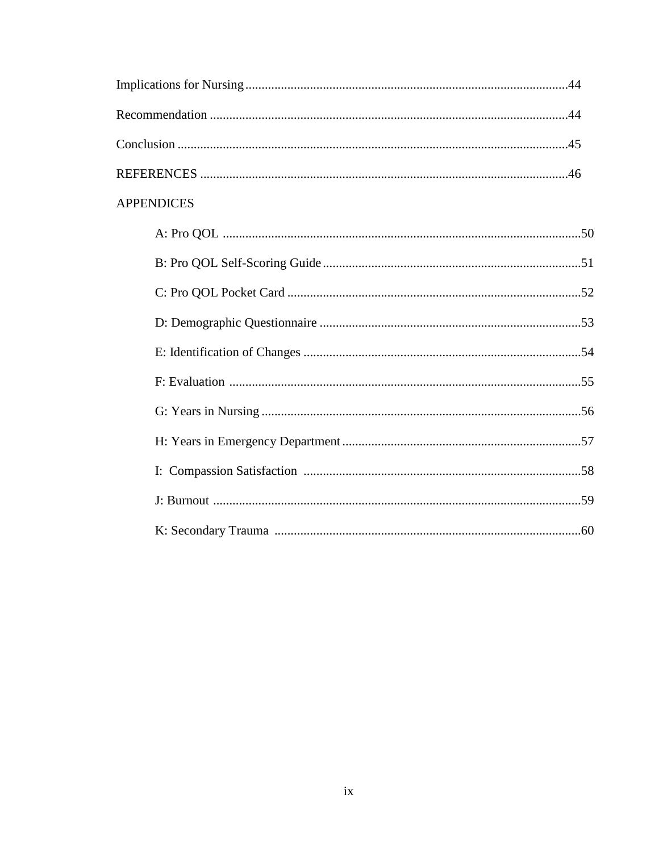|  | <b>APPENDICES</b> |  |
|--|-------------------|--|
|  |                   |  |
|  |                   |  |
|  |                   |  |
|  |                   |  |
|  |                   |  |
|  |                   |  |
|  |                   |  |
|  |                   |  |
|  |                   |  |
|  |                   |  |
|  |                   |  |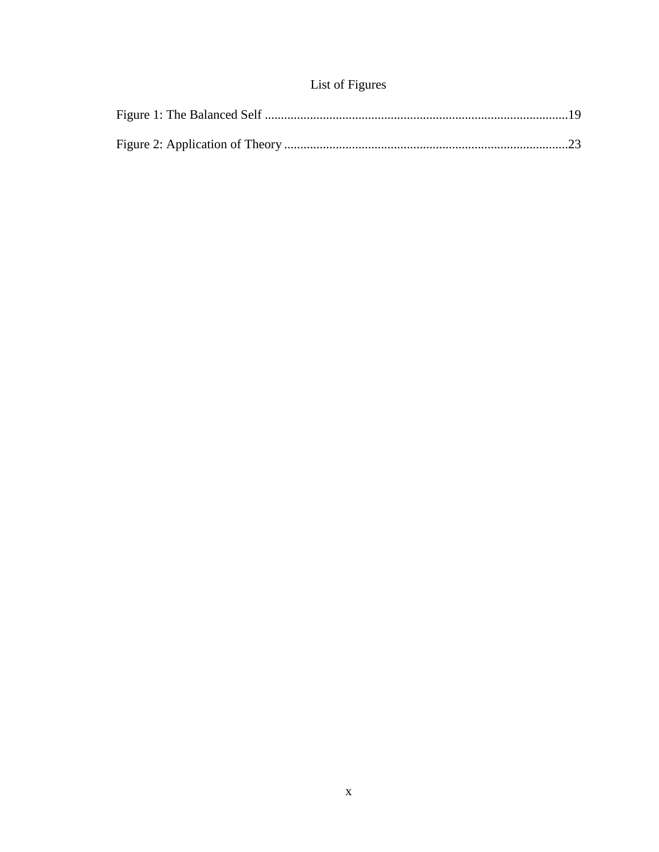# List of Figures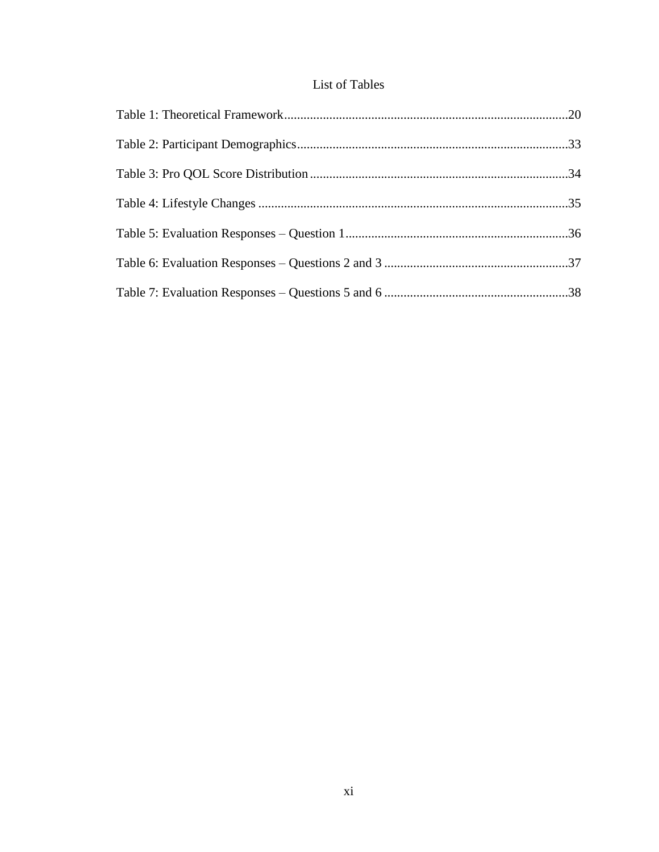# List of Tables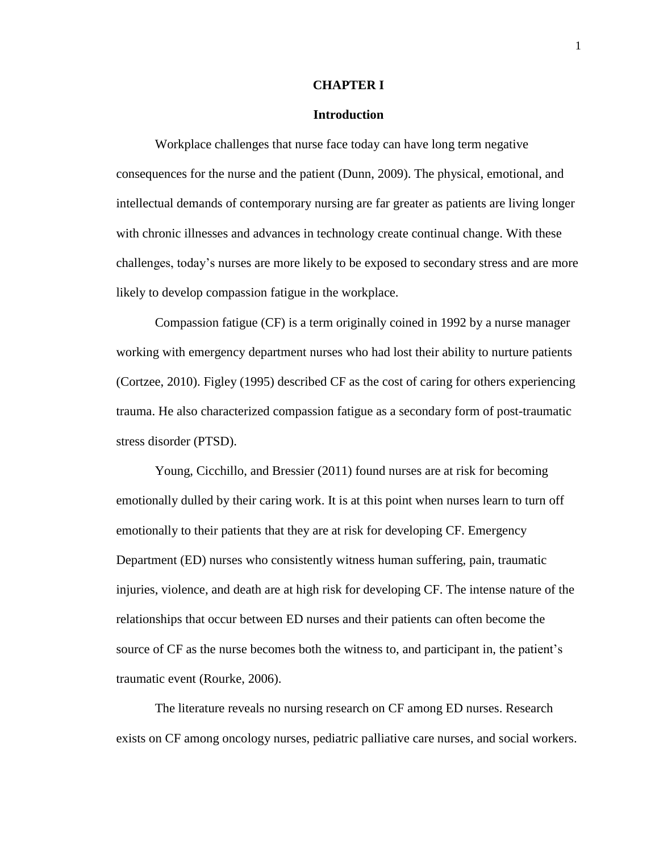### **CHAPTER I**

### **Introduction**

Workplace challenges that nurse face today can have long term negative consequences for the nurse and the patient (Dunn, 2009). The physical, emotional, and intellectual demands of contemporary nursing are far greater as patients are living longer with chronic illnesses and advances in technology create continual change. With these challenges, today's nurses are more likely to be exposed to secondary stress and are more likely to develop compassion fatigue in the workplace.

 Compassion fatigue (CF) is a term originally coined in 1992 by a nurse manager working with emergency department nurses who had lost their ability to nurture patients (Cortzee, 2010). Figley (1995) described CF as the cost of caring for others experiencing trauma. He also characterized compassion fatigue as a secondary form of post-traumatic stress disorder (PTSD).

 Young, Cicchillo, and Bressier (2011) found nurses are at risk for becoming emotionally dulled by their caring work. It is at this point when nurses learn to turn off emotionally to their patients that they are at risk for developing CF. Emergency Department (ED) nurses who consistently witness human suffering, pain, traumatic injuries, violence, and death are at high risk for developing CF. The intense nature of the relationships that occur between ED nurses and their patients can often become the source of CF as the nurse becomes both the witness to, and participant in, the patient's traumatic event (Rourke, 2006).

The literature reveals no nursing research on CF among ED nurses. Research exists on CF among oncology nurses, pediatric palliative care nurses, and social workers.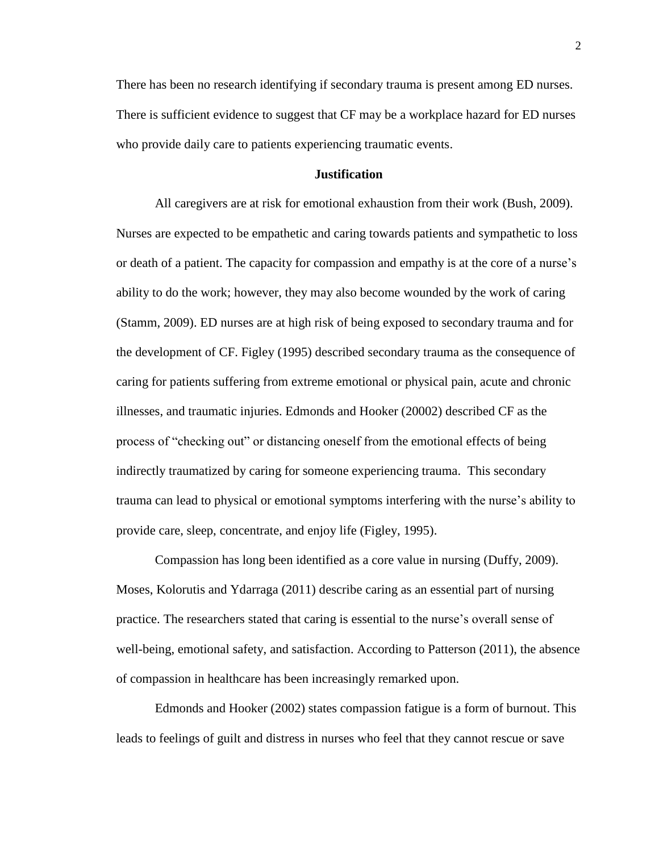There has been no research identifying if secondary trauma is present among ED nurses. There is sufficient evidence to suggest that CF may be a workplace hazard for ED nurses who provide daily care to patients experiencing traumatic events.

# **Justification**

All caregivers are at risk for emotional exhaustion from their work (Bush, 2009). Nurses are expected to be empathetic and caring towards patients and sympathetic to loss or death of a patient. The capacity for compassion and empathy is at the core of a nurse's ability to do the work; however, they may also become wounded by the work of caring (Stamm, 2009). ED nurses are at high risk of being exposed to secondary trauma and for the development of CF. Figley (1995) described secondary trauma as the consequence of caring for patients suffering from extreme emotional or physical pain, acute and chronic illnesses, and traumatic injuries. Edmonds and Hooker (20002) described CF as the process of "checking out" or distancing oneself from the emotional effects of being indirectly traumatized by caring for someone experiencing trauma. This secondary trauma can lead to physical or emotional symptoms interfering with the nurse's ability to provide care, sleep, concentrate, and enjoy life (Figley, 1995).

Compassion has long been identified as a core value in nursing (Duffy, 2009). Moses, Kolorutis and Ydarraga (2011) describe caring as an essential part of nursing practice. The researchers stated that caring is essential to the nurse's overall sense of well-being, emotional safety, and satisfaction. According to Patterson (2011), the absence of compassion in healthcare has been increasingly remarked upon.

Edmonds and Hooker (2002) states compassion fatigue is a form of burnout. This leads to feelings of guilt and distress in nurses who feel that they cannot rescue or save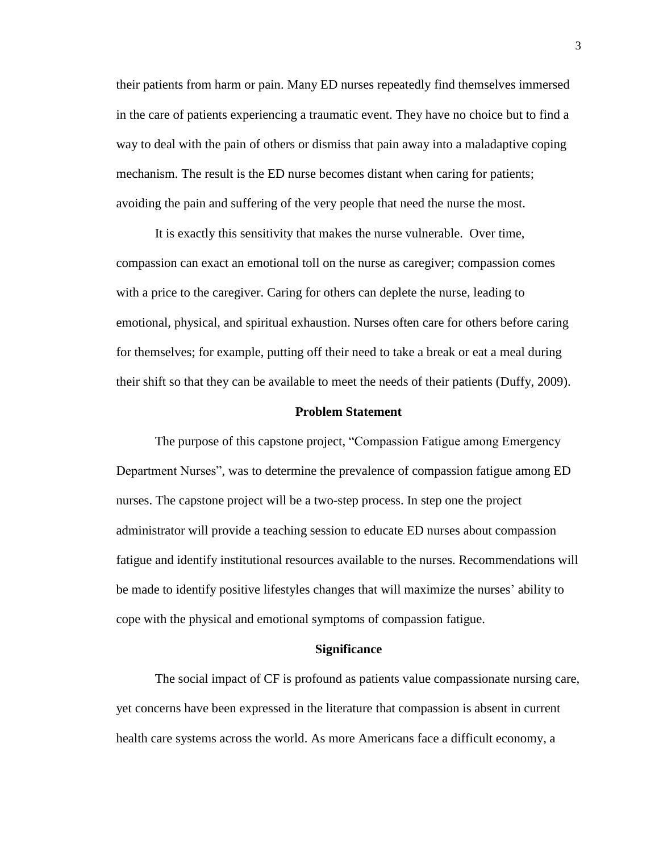their patients from harm or pain. Many ED nurses repeatedly find themselves immersed in the care of patients experiencing a traumatic event. They have no choice but to find a way to deal with the pain of others or dismiss that pain away into a maladaptive coping mechanism. The result is the ED nurse becomes distant when caring for patients; avoiding the pain and suffering of the very people that need the nurse the most.

It is exactly this sensitivity that makes the nurse vulnerable. Over time, compassion can exact an emotional toll on the nurse as caregiver; compassion comes with a price to the caregiver. Caring for others can deplete the nurse, leading to emotional, physical, and spiritual exhaustion. Nurses often care for others before caring for themselves; for example, putting off their need to take a break or eat a meal during their shift so that they can be available to meet the needs of their patients (Duffy, 2009).

#### **Problem Statement**

The purpose of this capstone project, "Compassion Fatigue among Emergency Department Nurses", was to determine the prevalence of compassion fatigue among ED nurses. The capstone project will be a two-step process. In step one the project administrator will provide a teaching session to educate ED nurses about compassion fatigue and identify institutional resources available to the nurses. Recommendations will be made to identify positive lifestyles changes that will maximize the nurses' ability to cope with the physical and emotional symptoms of compassion fatigue.

#### **Significance**

The social impact of CF is profound as patients value compassionate nursing care, yet concerns have been expressed in the literature that compassion is absent in current health care systems across the world. As more Americans face a difficult economy, a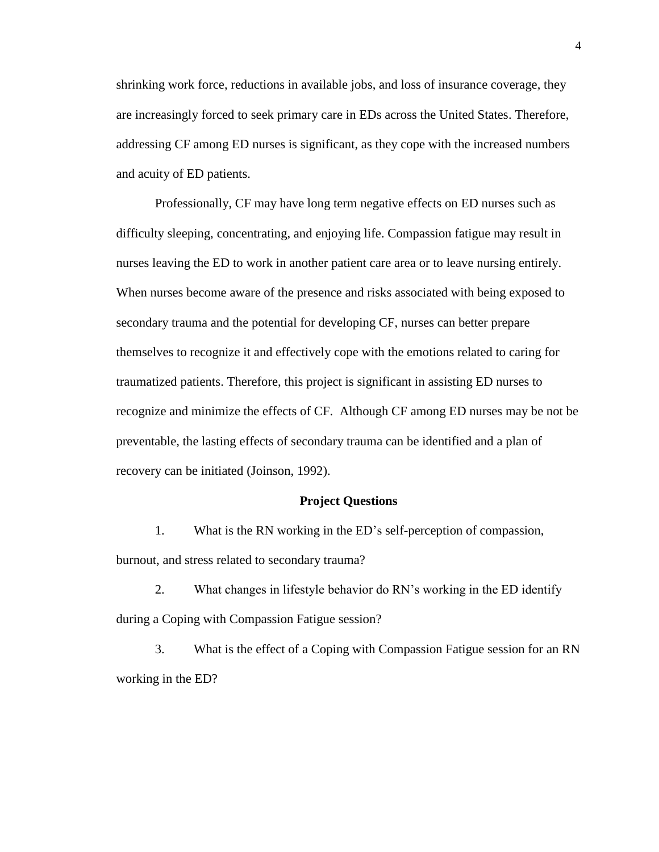shrinking work force, reductions in available jobs, and loss of insurance coverage, they are increasingly forced to seek primary care in EDs across the United States. Therefore, addressing CF among ED nurses is significant, as they cope with the increased numbers and acuity of ED patients.

Professionally, CF may have long term negative effects on ED nurses such as difficulty sleeping, concentrating, and enjoying life. Compassion fatigue may result in nurses leaving the ED to work in another patient care area or to leave nursing entirely. When nurses become aware of the presence and risks associated with being exposed to secondary trauma and the potential for developing CF, nurses can better prepare themselves to recognize it and effectively cope with the emotions related to caring for traumatized patients. Therefore, this project is significant in assisting ED nurses to recognize and minimize the effects of CF. Although CF among ED nurses may be not be preventable, the lasting effects of secondary trauma can be identified and a plan of recovery can be initiated (Joinson, 1992).

### **Project Questions**

1. What is the RN working in the ED's self-perception of compassion, burnout, and stress related to secondary trauma?

2. What changes in lifestyle behavior do RN's working in the ED identify during a Coping with Compassion Fatigue session?

3. What is the effect of a Coping with Compassion Fatigue session for an RN working in the ED?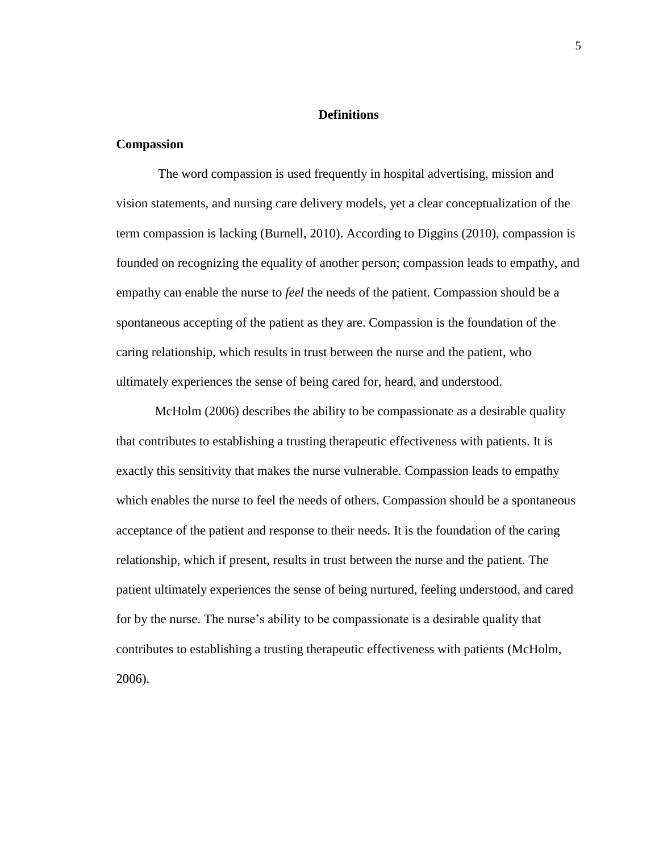# **Definitions**

### **Compassion**

The word compassion is used frequently in hospital advertising, mission and vision statements, and nursing care delivery models, yet a clear conceptualization of the term compassion is lacking (Burnell, 2010). According to Diggins (2010), compassion is founded on recognizing the equality of another person; compassion leads to empathy, and empathy can enable the nurse to *feel* the needs of the patient. Compassion should be a spontaneous accepting of the patient as they are. Compassion is the foundation of the caring relationship, which results in trust between the nurse and the patient, who ultimately experiences the sense of being cared for, heard, and understood.

McHolm (2006) describes the ability to be compassionate as a desirable quality that contributes to establishing a trusting therapeutic effectiveness with patients. It is exactly this sensitivity that makes the nurse vulnerable. Compassion leads to empathy which enables the nurse to feel the needs of others. Compassion should be a spontaneous acceptance of the patient and response to their needs. It is the foundation of the caring relationship, which if present, results in trust between the nurse and the patient. The patient ultimately experiences the sense of being nurtured, feeling understood, and cared for by the nurse. The nurse's ability to be compassionate is a desirable quality that contributes to establishing a trusting therapeutic effectiveness with patients (McHolm, 2006).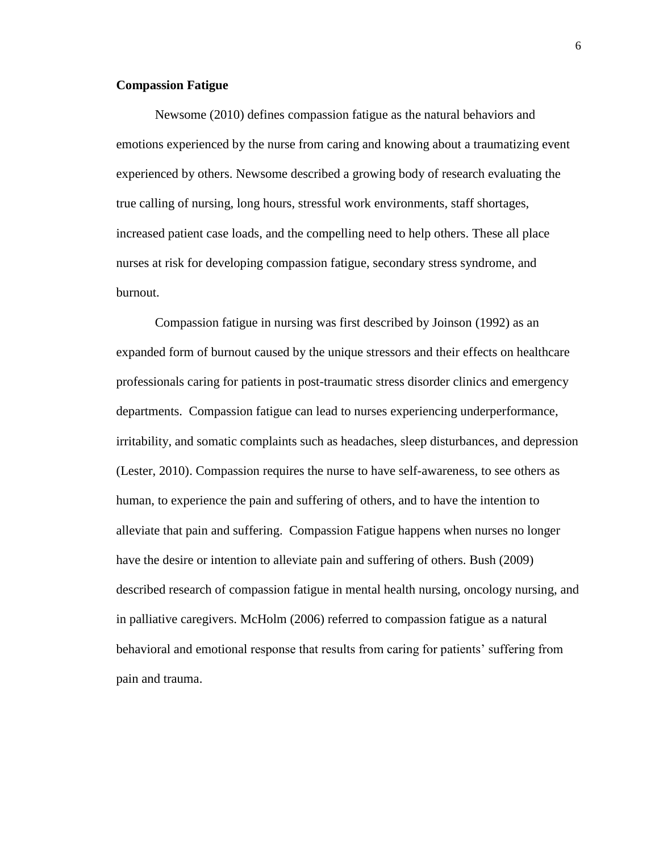# **Compassion Fatigue**

Newsome (2010) defines compassion fatigue as the natural behaviors and emotions experienced by the nurse from caring and knowing about a traumatizing event experienced by others. Newsome described a growing body of research evaluating the true calling of nursing, long hours, stressful work environments, staff shortages, increased patient case loads, and the compelling need to help others. These all place nurses at risk for developing compassion fatigue, secondary stress syndrome, and burnout.

Compassion fatigue in nursing was first described by Joinson (1992) as an expanded form of burnout caused by the unique stressors and their effects on healthcare professionals caring for patients in post-traumatic stress disorder clinics and emergency departments. Compassion fatigue can lead to nurses experiencing underperformance, irritability, and somatic complaints such as headaches, sleep disturbances, and depression (Lester, 2010). Compassion requires the nurse to have self-awareness, to see others as human, to experience the pain and suffering of others, and to have the intention to alleviate that pain and suffering. Compassion Fatigue happens when nurses no longer have the desire or intention to alleviate pain and suffering of others. Bush (2009) described research of compassion fatigue in mental health nursing, oncology nursing, and in palliative caregivers. McHolm (2006) referred to compassion fatigue as a natural behavioral and emotional response that results from caring for patients' suffering from pain and trauma.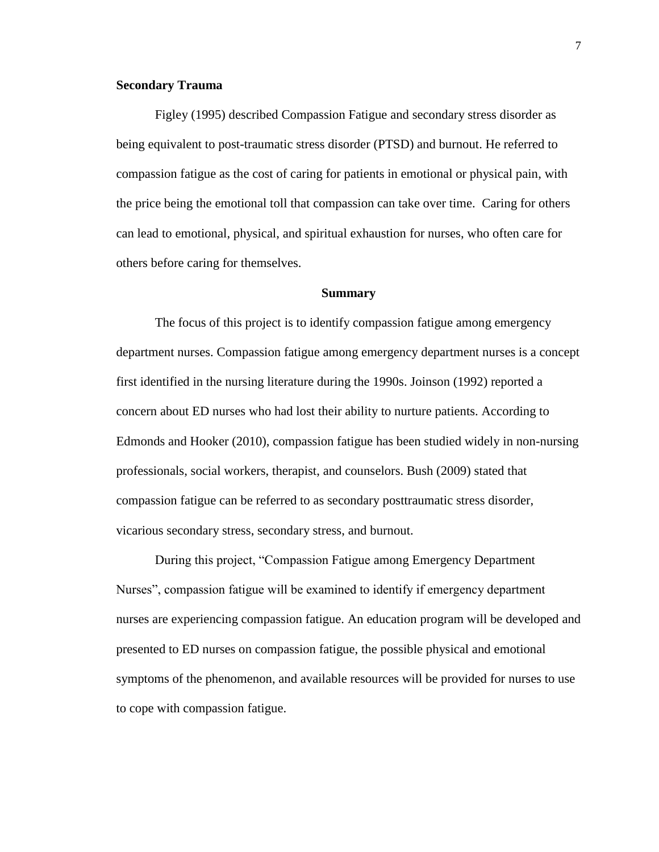# **Secondary Trauma**

Figley (1995) described Compassion Fatigue and secondary stress disorder as being equivalent to post-traumatic stress disorder (PTSD) and burnout. He referred to compassion fatigue as the cost of caring for patients in emotional or physical pain, with the price being the emotional toll that compassion can take over time. Caring for others can lead to emotional, physical, and spiritual exhaustion for nurses, who often care for others before caring for themselves.

### **Summary**

The focus of this project is to identify compassion fatigue among emergency department nurses. Compassion fatigue among emergency department nurses is a concept first identified in the nursing literature during the 1990s. Joinson (1992) reported a concern about ED nurses who had lost their ability to nurture patients. According to Edmonds and Hooker (2010), compassion fatigue has been studied widely in non-nursing professionals, social workers, therapist, and counselors. Bush (2009) stated that compassion fatigue can be referred to as secondary posttraumatic stress disorder, vicarious secondary stress, secondary stress, and burnout.

During this project, "Compassion Fatigue among Emergency Department Nurses", compassion fatigue will be examined to identify if emergency department nurses are experiencing compassion fatigue. An education program will be developed and presented to ED nurses on compassion fatigue, the possible physical and emotional symptoms of the phenomenon, and available resources will be provided for nurses to use to cope with compassion fatigue.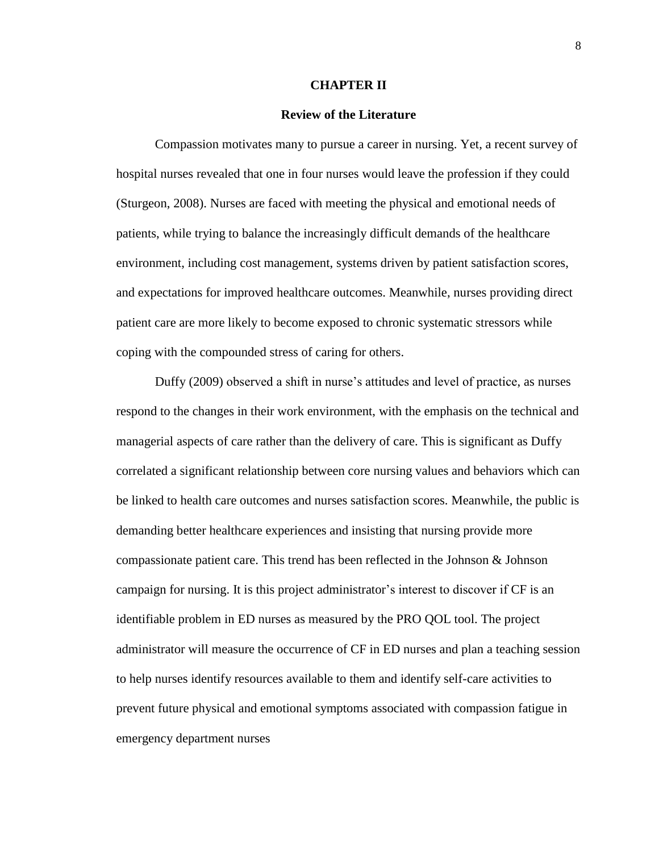#### **CHAPTER II**

#### **Review of the Literature**

Compassion motivates many to pursue a career in nursing. Yet, a recent survey of hospital nurses revealed that one in four nurses would leave the profession if they could (Sturgeon, 2008). Nurses are faced with meeting the physical and emotional needs of patients, while trying to balance the increasingly difficult demands of the healthcare environment, including cost management, systems driven by patient satisfaction scores, and expectations for improved healthcare outcomes. Meanwhile, nurses providing direct patient care are more likely to become exposed to chronic systematic stressors while coping with the compounded stress of caring for others.

 Duffy (2009) observed a shift in nurse's attitudes and level of practice, as nurses respond to the changes in their work environment, with the emphasis on the technical and managerial aspects of care rather than the delivery of care. This is significant as Duffy correlated a significant relationship between core nursing values and behaviors which can be linked to health care outcomes and nurses satisfaction scores. Meanwhile, the public is demanding better healthcare experiences and insisting that nursing provide more compassionate patient care. This trend has been reflected in the Johnson & Johnson campaign for nursing. It is this project administrator's interest to discover if CF is an identifiable problem in ED nurses as measured by the PRO QOL tool. The project administrator will measure the occurrence of CF in ED nurses and plan a teaching session to help nurses identify resources available to them and identify self-care activities to prevent future physical and emotional symptoms associated with compassion fatigue in emergency department nurses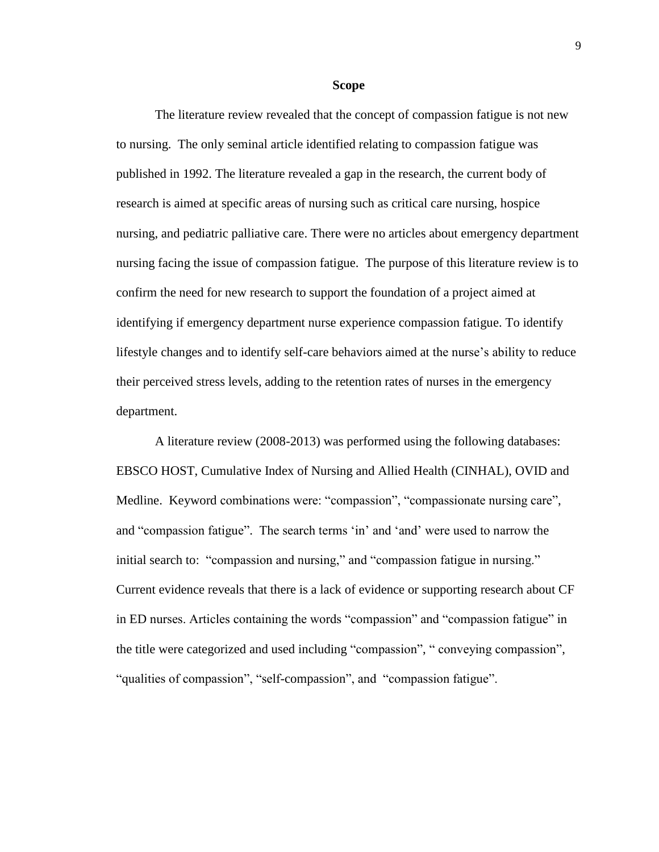#### **Scope**

 The literature review revealed that the concept of compassion fatigue is not new to nursing. The only seminal article identified relating to compassion fatigue was published in 1992. The literature revealed a gap in the research, the current body of research is aimed at specific areas of nursing such as critical care nursing, hospice nursing, and pediatric palliative care. There were no articles about emergency department nursing facing the issue of compassion fatigue. The purpose of this literature review is to confirm the need for new research to support the foundation of a project aimed at identifying if emergency department nurse experience compassion fatigue. To identify lifestyle changes and to identify self-care behaviors aimed at the nurse's ability to reduce their perceived stress levels, adding to the retention rates of nurses in the emergency department.

A literature review (2008-2013) was performed using the following databases: EBSCO HOST, Cumulative Index of Nursing and Allied Health (CINHAL), OVID and Medline. Keyword combinations were: "compassion", "compassionate nursing care", and "compassion fatigue". The search terms 'in' and 'and' were used to narrow the initial search to: "compassion and nursing," and "compassion fatigue in nursing." Current evidence reveals that there is a lack of evidence or supporting research about CF in ED nurses. Articles containing the words "compassion" and "compassion fatigue" in the title were categorized and used including "compassion", " conveying compassion", "qualities of compassion", "self-compassion", and "compassion fatigue".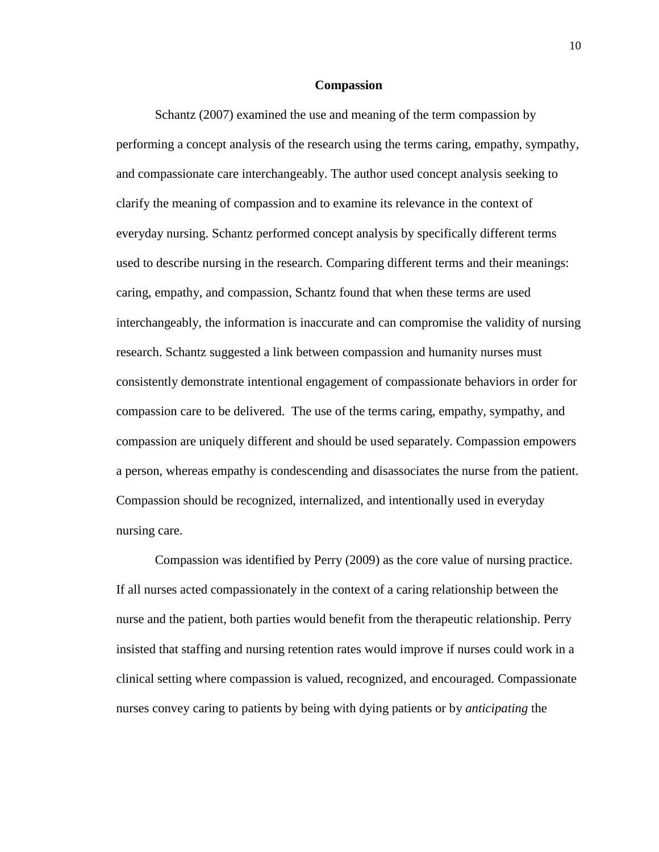### **Compassion**

 Schantz (2007) examined the use and meaning of the term compassion by performing a concept analysis of the research using the terms caring, empathy, sympathy, and compassionate care interchangeably. The author used concept analysis seeking to clarify the meaning of compassion and to examine its relevance in the context of everyday nursing. Schantz performed concept analysis by specifically different terms used to describe nursing in the research. Comparing different terms and their meanings: caring, empathy, and compassion, Schantz found that when these terms are used interchangeably, the information is inaccurate and can compromise the validity of nursing research. Schantz suggested a link between compassion and humanity nurses must consistently demonstrate intentional engagement of compassionate behaviors in order for compassion care to be delivered. The use of the terms caring, empathy, sympathy, and compassion are uniquely different and should be used separately. Compassion empowers a person, whereas empathy is condescending and disassociates the nurse from the patient. Compassion should be recognized, internalized, and intentionally used in everyday nursing care.

 Compassion was identified by Perry (2009) as the core value of nursing practice. If all nurses acted compassionately in the context of a caring relationship between the nurse and the patient, both parties would benefit from the therapeutic relationship. Perry insisted that staffing and nursing retention rates would improve if nurses could work in a clinical setting where compassion is valued, recognized, and encouraged. Compassionate nurses convey caring to patients by being with dying patients or by *anticipating* the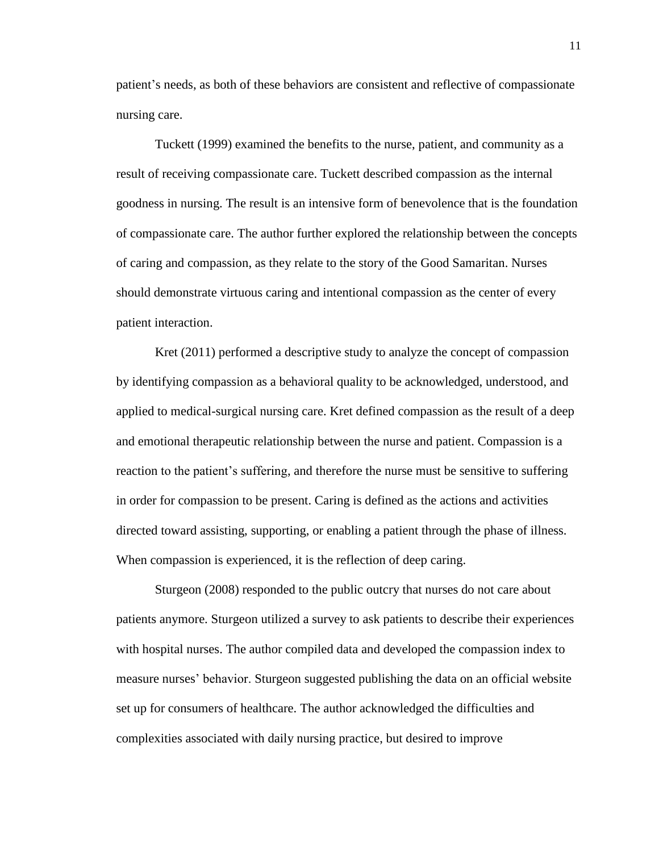patient's needs, as both of these behaviors are consistent and reflective of compassionate nursing care.

 Tuckett (1999) examined the benefits to the nurse, patient, and community as a result of receiving compassionate care. Tuckett described compassion as the internal goodness in nursing. The result is an intensive form of benevolence that is the foundation of compassionate care. The author further explored the relationship between the concepts of caring and compassion, as they relate to the story of the Good Samaritan. Nurses should demonstrate virtuous caring and intentional compassion as the center of every patient interaction.

 Kret (2011) performed a descriptive study to analyze the concept of compassion by identifying compassion as a behavioral quality to be acknowledged, understood, and applied to medical-surgical nursing care. Kret defined compassion as the result of a deep and emotional therapeutic relationship between the nurse and patient. Compassion is a reaction to the patient's suffering, and therefore the nurse must be sensitive to suffering in order for compassion to be present. Caring is defined as the actions and activities directed toward assisting, supporting, or enabling a patient through the phase of illness. When compassion is experienced, it is the reflection of deep caring.

 Sturgeon (2008) responded to the public outcry that nurses do not care about patients anymore. Sturgeon utilized a survey to ask patients to describe their experiences with hospital nurses. The author compiled data and developed the compassion index to measure nurses' behavior. Sturgeon suggested publishing the data on an official website set up for consumers of healthcare. The author acknowledged the difficulties and complexities associated with daily nursing practice, but desired to improve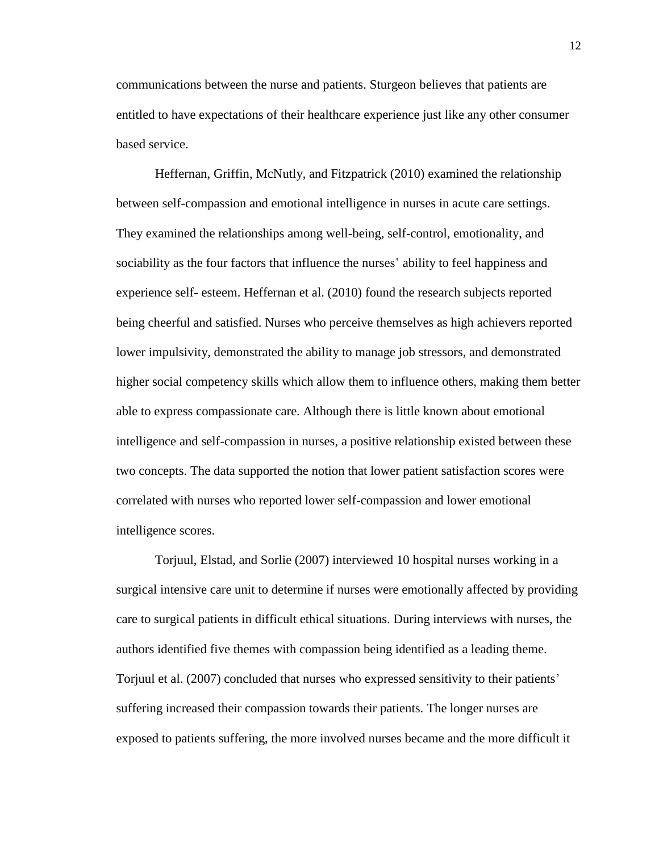communications between the nurse and patients. Sturgeon believes that patients are entitled to have expectations of their healthcare experience just like any other consumer based service.

 Heffernan, Griffin, McNutly, and Fitzpatrick (2010) examined the relationship between self-compassion and emotional intelligence in nurses in acute care settings. They examined the relationships among well-being, self-control, emotionality, and sociability as the four factors that influence the nurses' ability to feel happiness and experience self- esteem. Heffernan et al. (2010) found the research subjects reported being cheerful and satisfied. Nurses who perceive themselves as high achievers reported lower impulsivity, demonstrated the ability to manage job stressors, and demonstrated higher social competency skills which allow them to influence others, making them better able to express compassionate care. Although there is little known about emotional intelligence and self-compassion in nurses, a positive relationship existed between these two concepts. The data supported the notion that lower patient satisfaction scores were correlated with nurses who reported lower self-compassion and lower emotional intelligence scores.

 Torjuul, Elstad, and Sorlie (2007) interviewed 10 hospital nurses working in a surgical intensive care unit to determine if nurses were emotionally affected by providing care to surgical patients in difficult ethical situations. During interviews with nurses, the authors identified five themes with compassion being identified as a leading theme. Torjuul et al. (2007) concluded that nurses who expressed sensitivity to their patients' suffering increased their compassion towards their patients. The longer nurses are exposed to patients suffering, the more involved nurses became and the more difficult it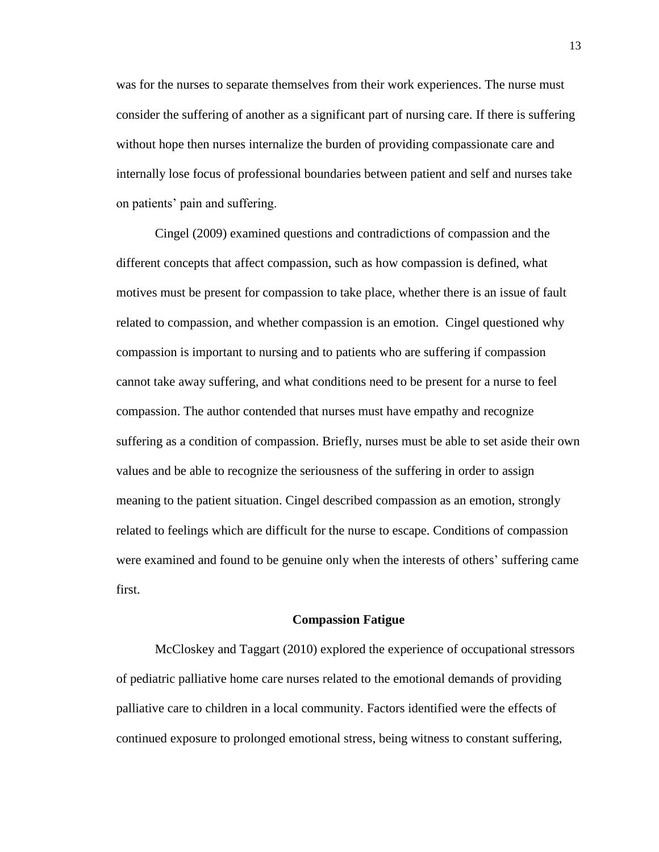was for the nurses to separate themselves from their work experiences. The nurse must consider the suffering of another as a significant part of nursing care. If there is suffering without hope then nurses internalize the burden of providing compassionate care and internally lose focus of professional boundaries between patient and self and nurses take on patients' pain and suffering.

 Cingel (2009) examined questions and contradictions of compassion and the different concepts that affect compassion, such as how compassion is defined, what motives must be present for compassion to take place, whether there is an issue of fault related to compassion, and whether compassion is an emotion. Cingel questioned why compassion is important to nursing and to patients who are suffering if compassion cannot take away suffering, and what conditions need to be present for a nurse to feel compassion. The author contended that nurses must have empathy and recognize suffering as a condition of compassion. Briefly, nurses must be able to set aside their own values and be able to recognize the seriousness of the suffering in order to assign meaning to the patient situation. Cingel described compassion as an emotion, strongly related to feelings which are difficult for the nurse to escape. Conditions of compassion were examined and found to be genuine only when the interests of others' suffering came first.

#### **Compassion Fatigue**

 McCloskey and Taggart (2010) explored the experience of occupational stressors of pediatric palliative home care nurses related to the emotional demands of providing palliative care to children in a local community. Factors identified were the effects of continued exposure to prolonged emotional stress, being witness to constant suffering,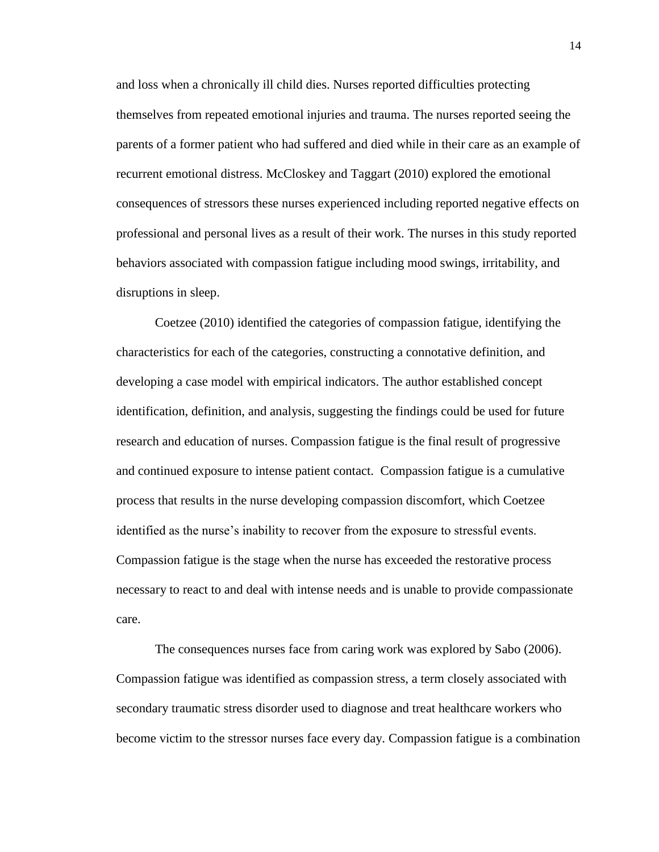and loss when a chronically ill child dies. Nurses reported difficulties protecting themselves from repeated emotional injuries and trauma. The nurses reported seeing the parents of a former patient who had suffered and died while in their care as an example of recurrent emotional distress. McCloskey and Taggart (2010) explored the emotional consequences of stressors these nurses experienced including reported negative effects on professional and personal lives as a result of their work. The nurses in this study reported behaviors associated with compassion fatigue including mood swings, irritability, and disruptions in sleep.

 Coetzee (2010) identified the categories of compassion fatigue, identifying the characteristics for each of the categories, constructing a connotative definition, and developing a case model with empirical indicators. The author established concept identification, definition, and analysis, suggesting the findings could be used for future research and education of nurses. Compassion fatigue is the final result of progressive and continued exposure to intense patient contact. Compassion fatigue is a cumulative process that results in the nurse developing compassion discomfort, which Coetzee identified as the nurse's inability to recover from the exposure to stressful events. Compassion fatigue is the stage when the nurse has exceeded the restorative process necessary to react to and deal with intense needs and is unable to provide compassionate care.

 The consequences nurses face from caring work was explored by Sabo (2006). Compassion fatigue was identified as compassion stress, a term closely associated with secondary traumatic stress disorder used to diagnose and treat healthcare workers who become victim to the stressor nurses face every day. Compassion fatigue is a combination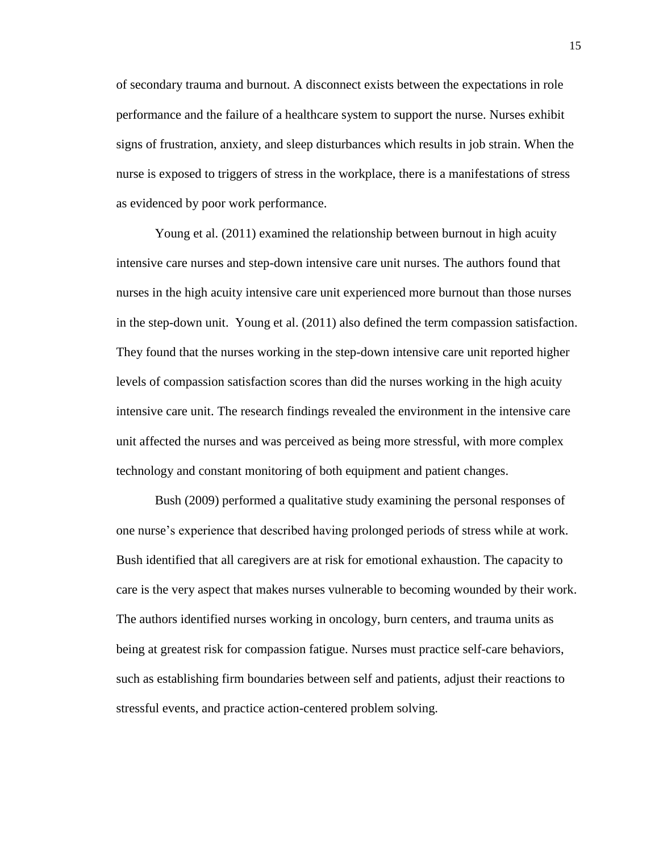of secondary trauma and burnout. A disconnect exists between the expectations in role performance and the failure of a healthcare system to support the nurse. Nurses exhibit signs of frustration, anxiety, and sleep disturbances which results in job strain. When the nurse is exposed to triggers of stress in the workplace, there is a manifestations of stress as evidenced by poor work performance.

 Young et al. (2011) examined the relationship between burnout in high acuity intensive care nurses and step-down intensive care unit nurses. The authors found that nurses in the high acuity intensive care unit experienced more burnout than those nurses in the step-down unit. Young et al. (2011) also defined the term compassion satisfaction. They found that the nurses working in the step-down intensive care unit reported higher levels of compassion satisfaction scores than did the nurses working in the high acuity intensive care unit. The research findings revealed the environment in the intensive care unit affected the nurses and was perceived as being more stressful, with more complex technology and constant monitoring of both equipment and patient changes.

 Bush (2009) performed a qualitative study examining the personal responses of one nurse's experience that described having prolonged periods of stress while at work. Bush identified that all caregivers are at risk for emotional exhaustion. The capacity to care is the very aspect that makes nurses vulnerable to becoming wounded by their work. The authors identified nurses working in oncology, burn centers, and trauma units as being at greatest risk for compassion fatigue. Nurses must practice self-care behaviors, such as establishing firm boundaries between self and patients, adjust their reactions to stressful events, and practice action-centered problem solving.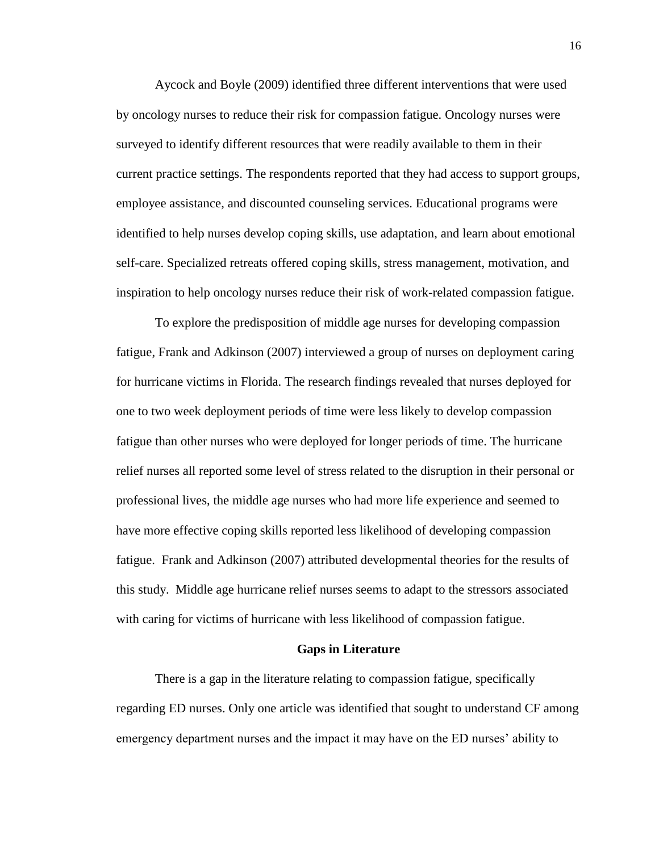Aycock and Boyle (2009) identified three different interventions that were used by oncology nurses to reduce their risk for compassion fatigue. Oncology nurses were surveyed to identify different resources that were readily available to them in their current practice settings. The respondents reported that they had access to support groups, employee assistance, and discounted counseling services. Educational programs were identified to help nurses develop coping skills, use adaptation, and learn about emotional self-care. Specialized retreats offered coping skills, stress management, motivation, and inspiration to help oncology nurses reduce their risk of work-related compassion fatigue.

 To explore the predisposition of middle age nurses for developing compassion fatigue, Frank and Adkinson (2007) interviewed a group of nurses on deployment caring for hurricane victims in Florida. The research findings revealed that nurses deployed for one to two week deployment periods of time were less likely to develop compassion fatigue than other nurses who were deployed for longer periods of time. The hurricane relief nurses all reported some level of stress related to the disruption in their personal or professional lives, the middle age nurses who had more life experience and seemed to have more effective coping skills reported less likelihood of developing compassion fatigue. Frank and Adkinson (2007) attributed developmental theories for the results of this study. Middle age hurricane relief nurses seems to adapt to the stressors associated with caring for victims of hurricane with less likelihood of compassion fatigue.

#### **Gaps in Literature**

There is a gap in the literature relating to compassion fatigue, specifically regarding ED nurses. Only one article was identified that sought to understand CF among emergency department nurses and the impact it may have on the ED nurses' ability to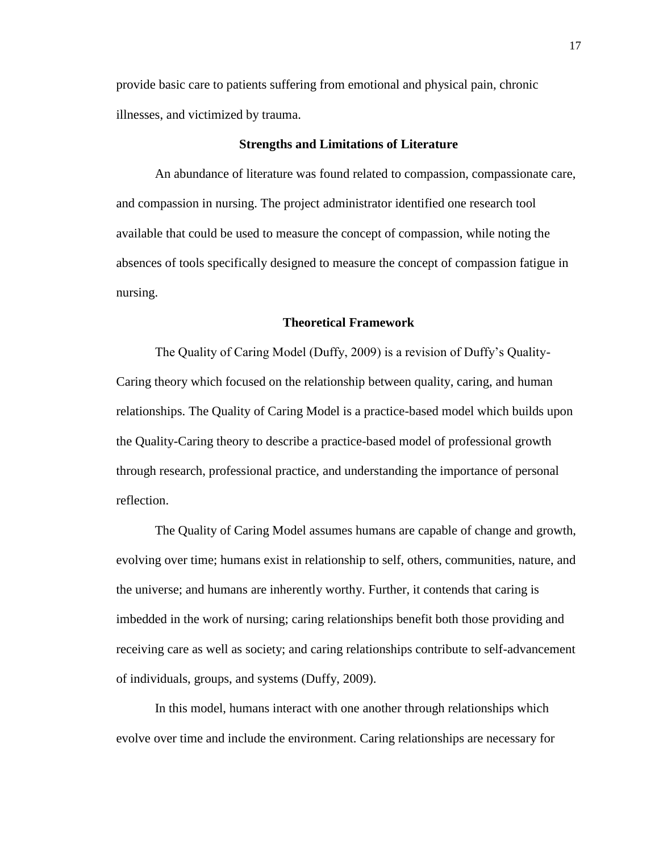provide basic care to patients suffering from emotional and physical pain, chronic illnesses, and victimized by trauma.

### **Strengths and Limitations of Literature**

An abundance of literature was found related to compassion, compassionate care, and compassion in nursing. The project administrator identified one research tool available that could be used to measure the concept of compassion, while noting the absences of tools specifically designed to measure the concept of compassion fatigue in nursing.

# **Theoretical Framework**

The Quality of Caring Model (Duffy, 2009) is a revision of Duffy's Quality-Caring theory which focused on the relationship between quality, caring, and human relationships. The Quality of Caring Model is a practice-based model which builds upon the Quality-Caring theory to describe a practice-based model of professional growth through research, professional practice, and understanding the importance of personal reflection.

The Quality of Caring Model assumes humans are capable of change and growth, evolving over time; humans exist in relationship to self, others, communities, nature, and the universe; and humans are inherently worthy. Further, it contends that caring is imbedded in the work of nursing; caring relationships benefit both those providing and receiving care as well as society; and caring relationships contribute to self-advancement of individuals, groups, and systems (Duffy, 2009).

In this model, humans interact with one another through relationships which evolve over time and include the environment. Caring relationships are necessary for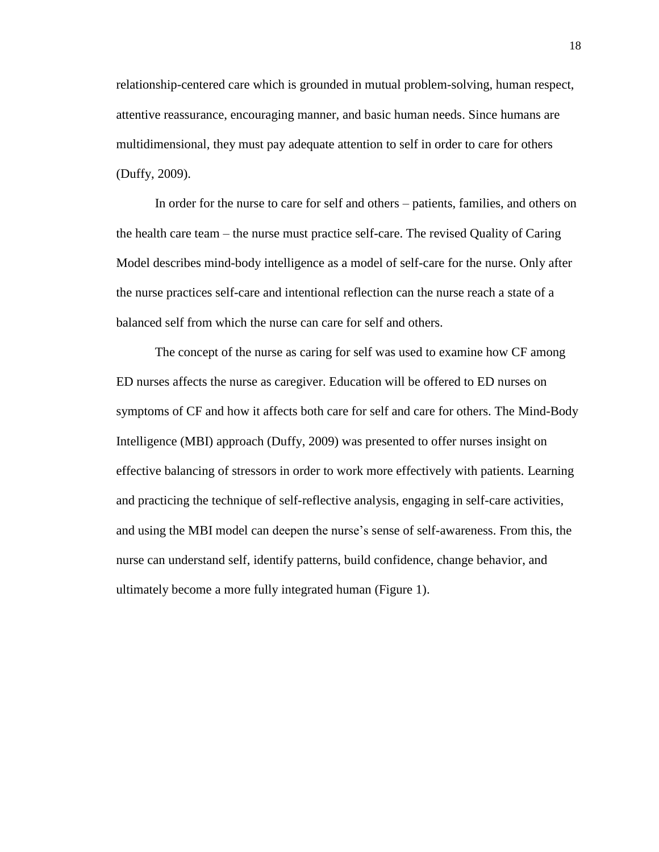relationship-centered care which is grounded in mutual problem-solving, human respect, attentive reassurance, encouraging manner, and basic human needs. Since humans are multidimensional, they must pay adequate attention to self in order to care for others (Duffy, 2009).

In order for the nurse to care for self and others – patients, families, and others on the health care team – the nurse must practice self-care. The revised Quality of Caring Model describes mind-body intelligence as a model of self-care for the nurse. Only after the nurse practices self-care and intentional reflection can the nurse reach a state of a balanced self from which the nurse can care for self and others.

The concept of the nurse as caring for self was used to examine how CF among ED nurses affects the nurse as caregiver. Education will be offered to ED nurses on symptoms of CF and how it affects both care for self and care for others. The Mind-Body Intelligence (MBI) approach (Duffy, 2009) was presented to offer nurses insight on effective balancing of stressors in order to work more effectively with patients. Learning and practicing the technique of self-reflective analysis, engaging in self-care activities, and using the MBI model can deepen the nurse's sense of self-awareness. From this, the nurse can understand self, identify patterns, build confidence, change behavior, and ultimately become a more fully integrated human (Figure 1).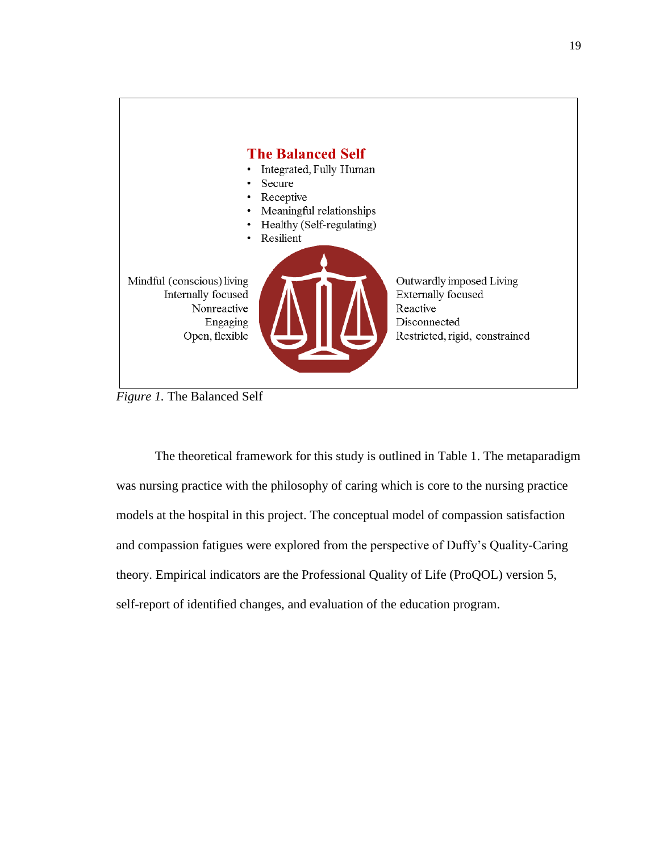

*Figure 1.* The Balanced Self

The theoretical framework for this study is outlined in Table 1. The metaparadigm was nursing practice with the philosophy of caring which is core to the nursing practice models at the hospital in this project. The conceptual model of compassion satisfaction and compassion fatigues were explored from the perspective of Duffy's Quality-Caring theory. Empirical indicators are the Professional Quality of Life (ProQOL) version 5, self-report of identified changes, and evaluation of the education program.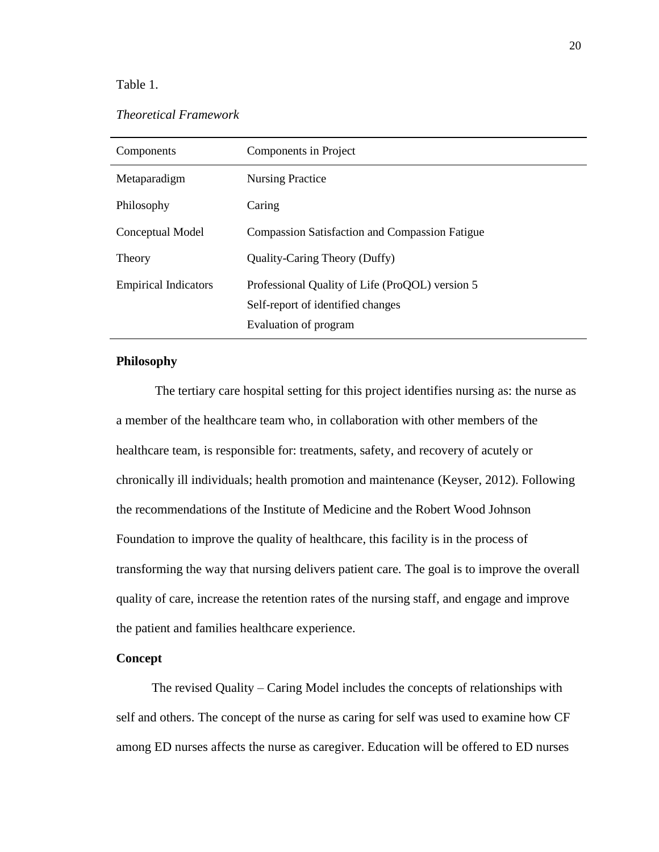# Table 1.

# *Theoretical Framework*

| Components                  | Components in Project                                                                                         |
|-----------------------------|---------------------------------------------------------------------------------------------------------------|
| Metaparadigm                | <b>Nursing Practice</b>                                                                                       |
| Philosophy                  | Caring                                                                                                        |
| Conceptual Model            | <b>Compassion Satisfaction and Compassion Fatigue</b>                                                         |
| Theory                      | Quality-Caring Theory (Duffy)                                                                                 |
| <b>Empirical Indicators</b> | Professional Quality of Life (ProQOL) version 5<br>Self-report of identified changes<br>Evaluation of program |

# **Philosophy**

The tertiary care hospital setting for this project identifies nursing as: the nurse as a member of the healthcare team who, in collaboration with other members of the healthcare team, is responsible for: treatments, safety, and recovery of acutely or chronically ill individuals; health promotion and maintenance (Keyser, 2012). Following the recommendations of the Institute of Medicine and the Robert Wood Johnson Foundation to improve the quality of healthcare, this facility is in the process of transforming the way that nursing delivers patient care. The goal is to improve the overall quality of care, increase the retention rates of the nursing staff, and engage and improve the patient and families healthcare experience.

# **Concept**

 The revised Quality – Caring Model includes the concepts of relationships with self and others. The concept of the nurse as caring for self was used to examine how CF among ED nurses affects the nurse as caregiver. Education will be offered to ED nurses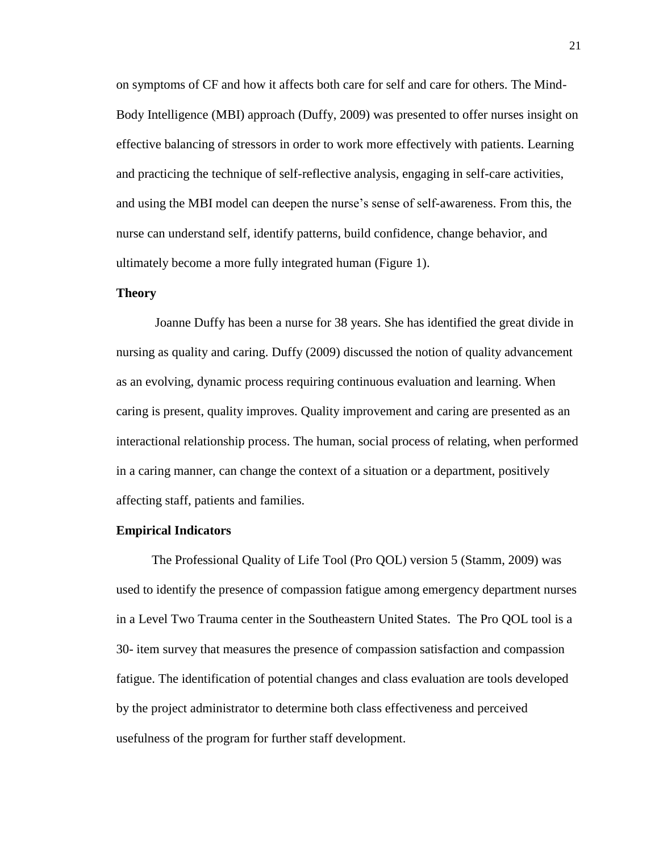on symptoms of CF and how it affects both care for self and care for others. The Mind-Body Intelligence (MBI) approach (Duffy, 2009) was presented to offer nurses insight on effective balancing of stressors in order to work more effectively with patients. Learning and practicing the technique of self-reflective analysis, engaging in self-care activities, and using the MBI model can deepen the nurse's sense of self-awareness. From this, the nurse can understand self, identify patterns, build confidence, change behavior, and ultimately become a more fully integrated human (Figure 1).

### **Theory**

Joanne Duffy has been a nurse for 38 years. She has identified the great divide in nursing as quality and caring. Duffy (2009) discussed the notion of quality advancement as an evolving, dynamic process requiring continuous evaluation and learning. When caring is present, quality improves. Quality improvement and caring are presented as an interactional relationship process. The human, social process of relating, when performed in a caring manner, can change the context of a situation or a department, positively affecting staff, patients and families.

#### **Empirical Indicators**

 The Professional Quality of Life Tool (Pro QOL) version 5 (Stamm, 2009) was used to identify the presence of compassion fatigue among emergency department nurses in a Level Two Trauma center in the Southeastern United States. The Pro QOL tool is a 30- item survey that measures the presence of compassion satisfaction and compassion fatigue. The identification of potential changes and class evaluation are tools developed by the project administrator to determine both class effectiveness and perceived usefulness of the program for further staff development.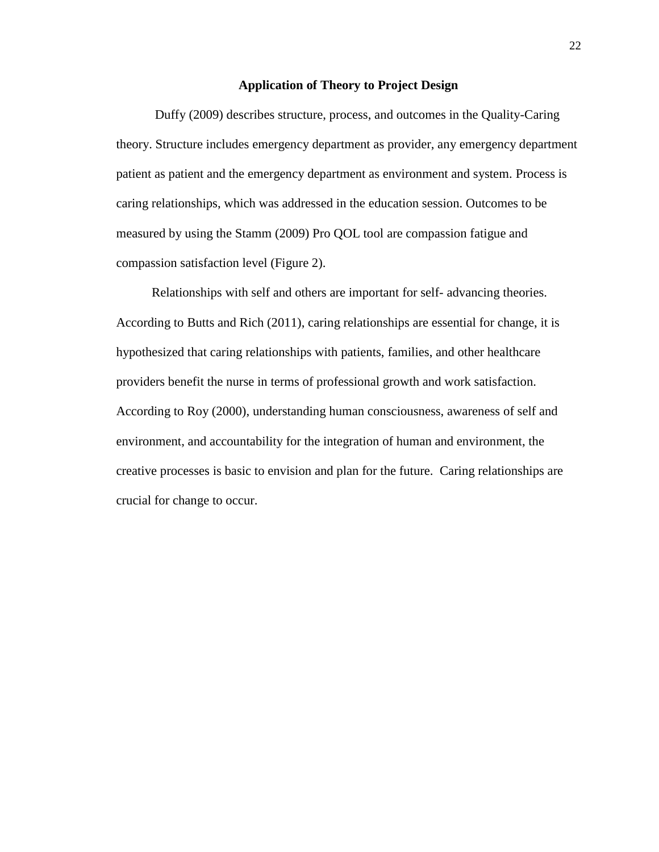### **Application of Theory to Project Design**

Duffy (2009) describes structure, process, and outcomes in the Quality-Caring theory. Structure includes emergency department as provider, any emergency department patient as patient and the emergency department as environment and system. Process is caring relationships, which was addressed in the education session. Outcomes to be measured by using the Stamm (2009) Pro QOL tool are compassion fatigue and compassion satisfaction level (Figure 2).

 Relationships with self and others are important for self- advancing theories. According to Butts and Rich (2011), caring relationships are essential for change, it is hypothesized that caring relationships with patients, families, and other healthcare providers benefit the nurse in terms of professional growth and work satisfaction. According to Roy (2000), understanding human consciousness, awareness of self and environment, and accountability for the integration of human and environment, the creative processes is basic to envision and plan for the future. Caring relationships are crucial for change to occur.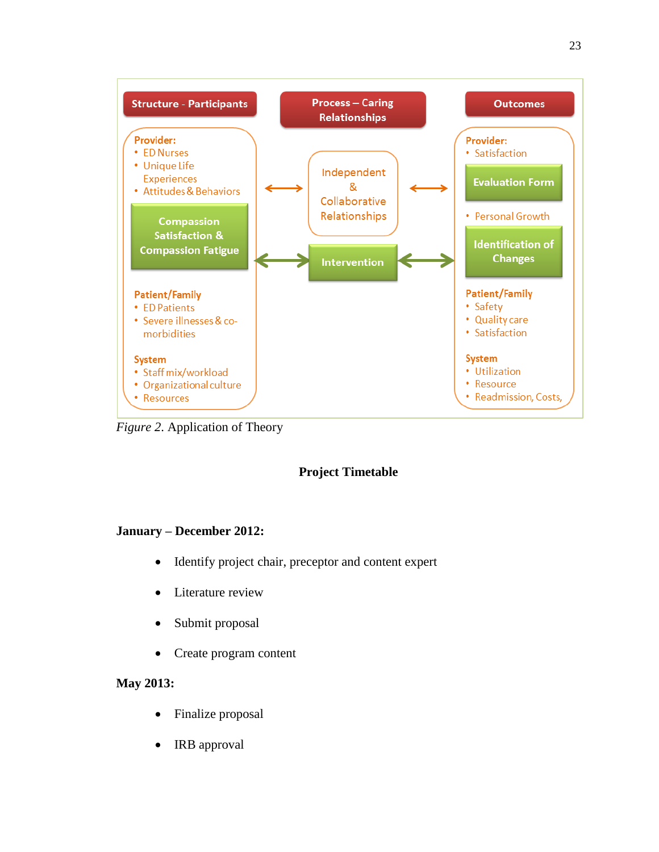

*Figure 2*. Application of Theory

# **Project Timetable**

# **January – December 2012:**

- Identify project chair, preceptor and content expert
- Literature review
- Submit proposal
- Create program content

# **May 2013:**

- Finalize proposal
- IRB approval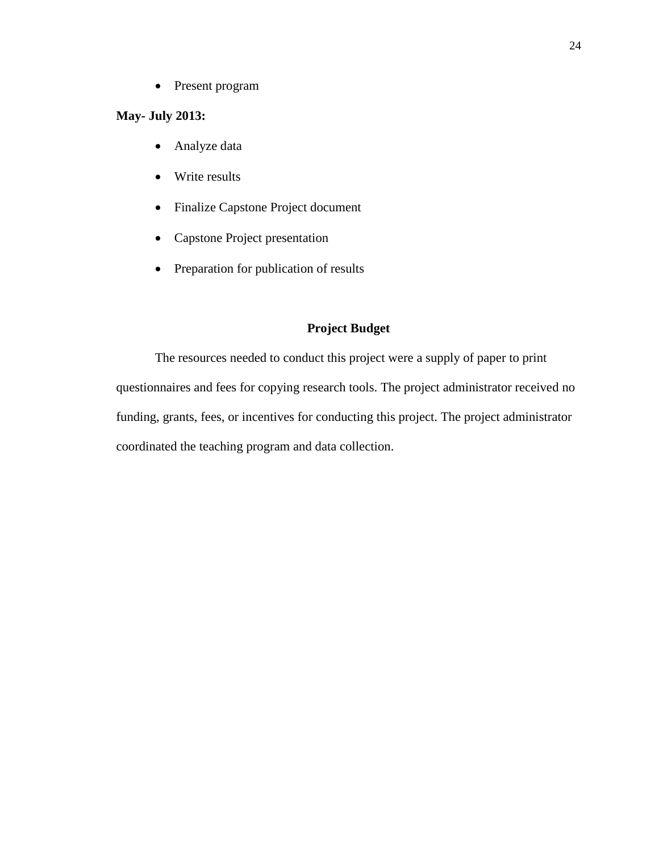• Present program

# **May- July 2013:**

- Analyze data
- Write results
- Finalize Capstone Project document
- Capstone Project presentation
- Preparation for publication of results

# **Project Budget**

 The resources needed to conduct this project were a supply of paper to print questionnaires and fees for copying research tools. The project administrator received no funding, grants, fees, or incentives for conducting this project. The project administrator coordinated the teaching program and data collection.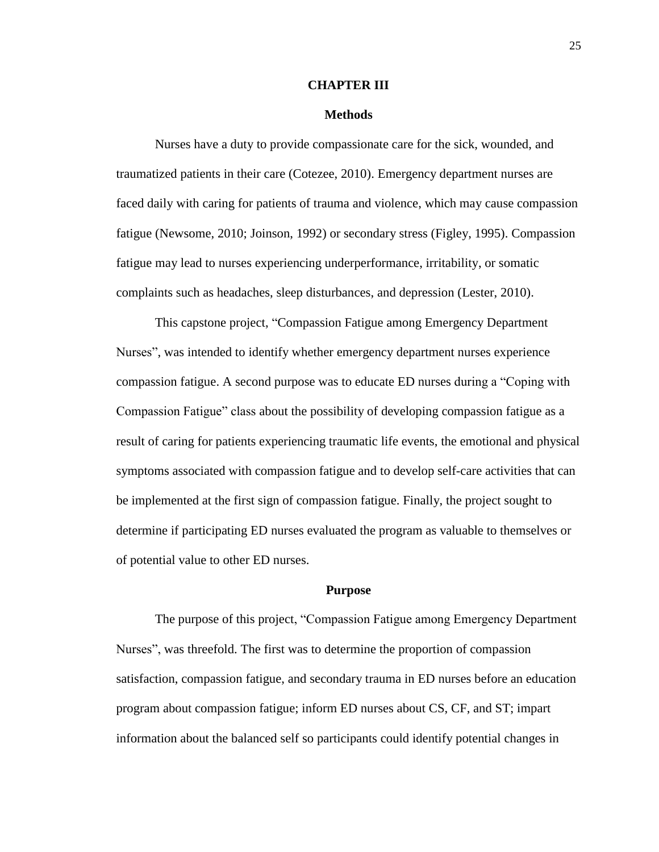#### **CHAPTER III**

#### **Methods**

Nurses have a duty to provide compassionate care for the sick, wounded, and traumatized patients in their care (Cotezee, 2010). Emergency department nurses are faced daily with caring for patients of trauma and violence, which may cause compassion fatigue (Newsome, 2010; Joinson, 1992) or secondary stress (Figley, 1995). Compassion fatigue may lead to nurses experiencing underperformance, irritability, or somatic complaints such as headaches, sleep disturbances, and depression (Lester, 2010).

This capstone project, "Compassion Fatigue among Emergency Department Nurses", was intended to identify whether emergency department nurses experience compassion fatigue. A second purpose was to educate ED nurses during a "Coping with Compassion Fatigue" class about the possibility of developing compassion fatigue as a result of caring for patients experiencing traumatic life events, the emotional and physical symptoms associated with compassion fatigue and to develop self-care activities that can be implemented at the first sign of compassion fatigue. Finally, the project sought to determine if participating ED nurses evaluated the program as valuable to themselves or of potential value to other ED nurses.

#### **Purpose**

The purpose of this project, "Compassion Fatigue among Emergency Department Nurses", was threefold. The first was to determine the proportion of compassion satisfaction, compassion fatigue, and secondary trauma in ED nurses before an education program about compassion fatigue; inform ED nurses about CS, CF, and ST; impart information about the balanced self so participants could identify potential changes in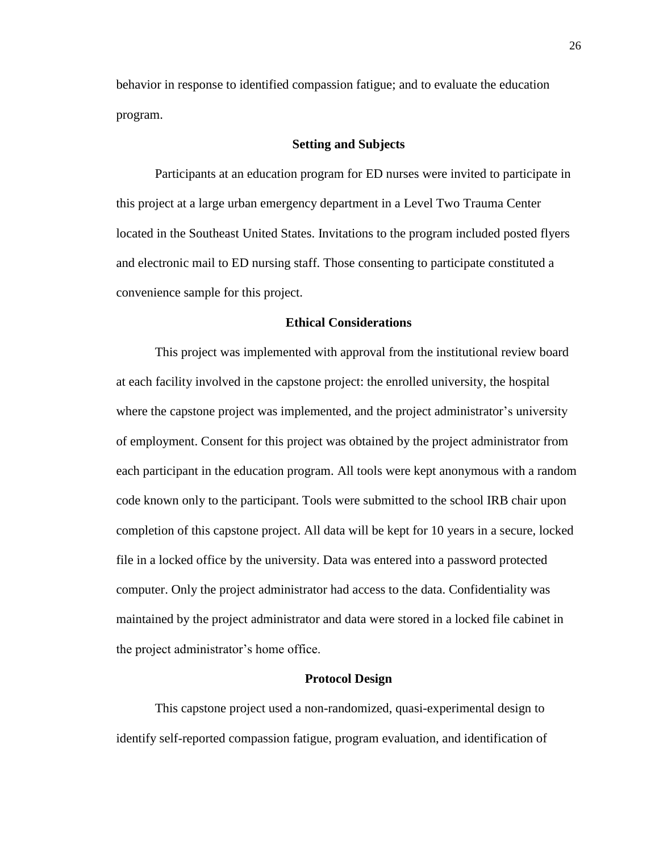behavior in response to identified compassion fatigue; and to evaluate the education program.

#### **Setting and Subjects**

Participants at an education program for ED nurses were invited to participate in this project at a large urban emergency department in a Level Two Trauma Center located in the Southeast United States. Invitations to the program included posted flyers and electronic mail to ED nursing staff. Those consenting to participate constituted a convenience sample for this project.

#### **Ethical Considerations**

This project was implemented with approval from the institutional review board at each facility involved in the capstone project: the enrolled university, the hospital where the capstone project was implemented, and the project administrator's university of employment. Consent for this project was obtained by the project administrator from each participant in the education program. All tools were kept anonymous with a random code known only to the participant. Tools were submitted to the school IRB chair upon completion of this capstone project. All data will be kept for 10 years in a secure, locked file in a locked office by the university. Data was entered into a password protected computer. Only the project administrator had access to the data. Confidentiality was maintained by the project administrator and data were stored in a locked file cabinet in the project administrator's home office.

#### **Protocol Design**

This capstone project used a non-randomized, quasi-experimental design to identify self-reported compassion fatigue, program evaluation, and identification of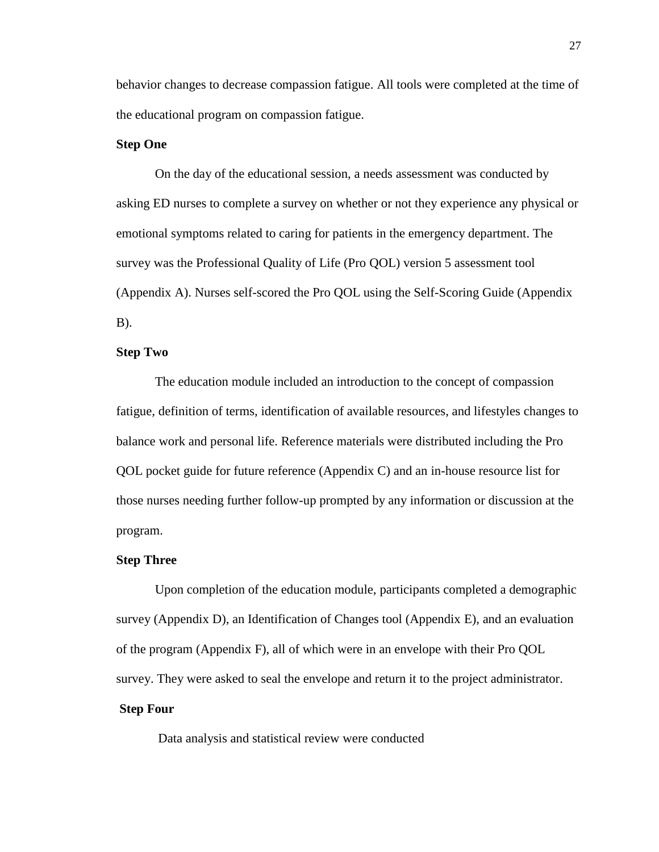behavior changes to decrease compassion fatigue. All tools were completed at the time of the educational program on compassion fatigue.

#### **Step One**

On the day of the educational session, a needs assessment was conducted by asking ED nurses to complete a survey on whether or not they experience any physical or emotional symptoms related to caring for patients in the emergency department. The survey was the Professional Quality of Life (Pro QOL) version 5 assessment tool (Appendix A). Nurses self-scored the Pro QOL using the Self-Scoring Guide (Appendix B).

#### **Step Two**

The education module included an introduction to the concept of compassion fatigue, definition of terms, identification of available resources, and lifestyles changes to balance work and personal life. Reference materials were distributed including the Pro QOL pocket guide for future reference (Appendix C) and an in-house resource list for those nurses needing further follow-up prompted by any information or discussion at the program.

#### **Step Three**

Upon completion of the education module, participants completed a demographic survey (Appendix D), an Identification of Changes tool (Appendix E), and an evaluation of the program (Appendix F), all of which were in an envelope with their Pro QOL survey. They were asked to seal the envelope and return it to the project administrator.

## **Step Four**

Data analysis and statistical review were conducted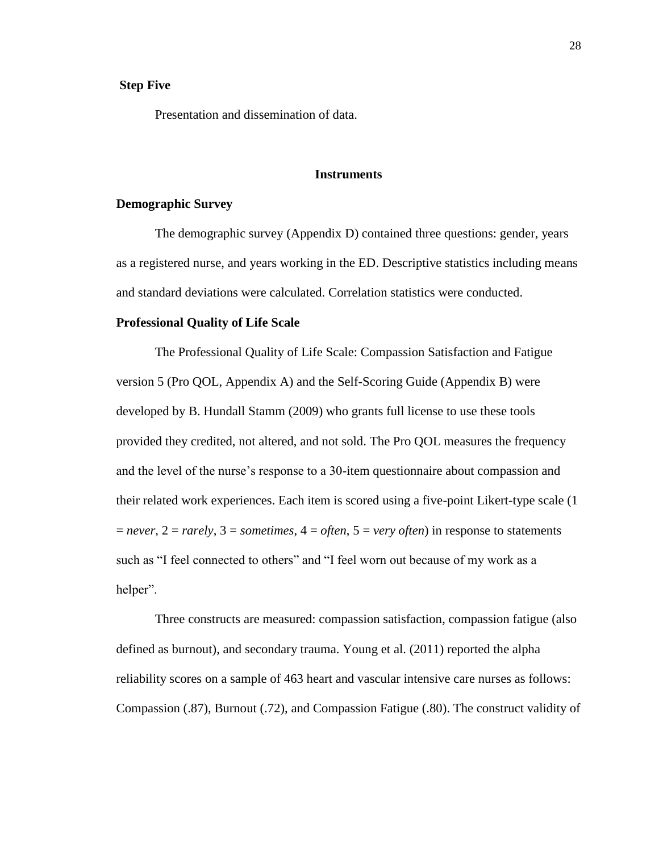#### **Step Five**

Presentation and dissemination of data.

#### **Instruments**

#### **Demographic Survey**

The demographic survey (Appendix D) contained three questions: gender, years as a registered nurse, and years working in the ED. Descriptive statistics including means and standard deviations were calculated. Correlation statistics were conducted.

#### **Professional Quality of Life Scale**

The Professional Quality of Life Scale: Compassion Satisfaction and Fatigue version 5 (Pro QOL, Appendix A) and the Self-Scoring Guide (Appendix B) were developed by B. Hundall Stamm (2009) who grants full license to use these tools provided they credited, not altered, and not sold. The Pro QOL measures the frequency and the level of the nurse's response to a 30-item questionnaire about compassion and their related work experiences. Each item is scored using a five-point Likert-type scale (1  $=$  *never*,  $2 =$  *rarely*,  $3 =$  *sometimes*,  $4 =$  *often*,  $5 =$  *very often*) in response to statements such as "I feel connected to others" and "I feel worn out because of my work as a helper".

Three constructs are measured: compassion satisfaction, compassion fatigue (also defined as burnout), and secondary trauma. Young et al. (2011) reported the alpha reliability scores on a sample of 463 heart and vascular intensive care nurses as follows: Compassion (.87), Burnout (.72), and Compassion Fatigue (.80). The construct validity of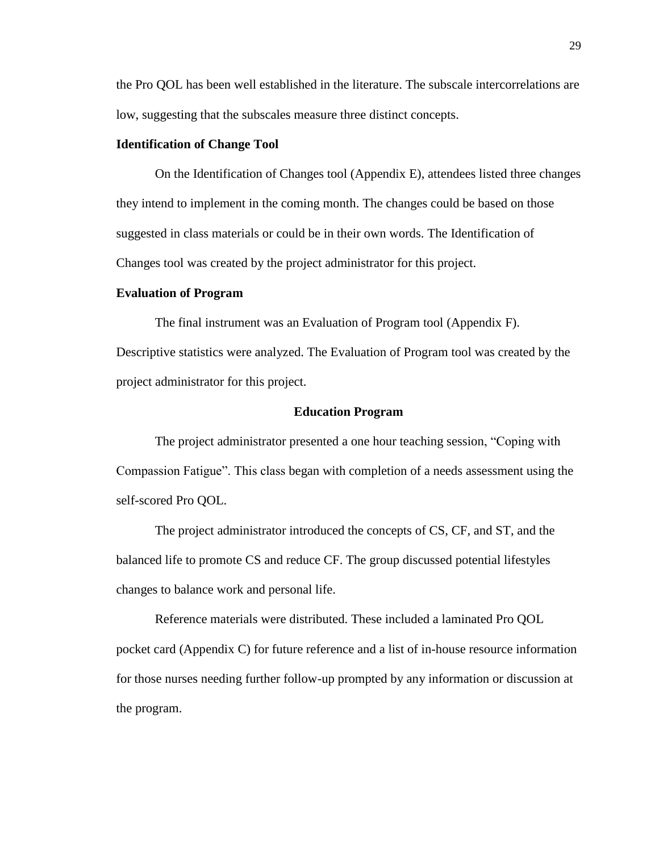the Pro QOL has been well established in the literature. The subscale intercorrelations are low, suggesting that the subscales measure three distinct concepts.

#### **Identification of Change Tool**

On the Identification of Changes tool (Appendix E), attendees listed three changes they intend to implement in the coming month. The changes could be based on those suggested in class materials or could be in their own words. The Identification of Changes tool was created by the project administrator for this project.

#### **Evaluation of Program**

The final instrument was an Evaluation of Program tool (Appendix F). Descriptive statistics were analyzed. The Evaluation of Program tool was created by the project administrator for this project.

#### **Education Program**

 The project administrator presented a one hour teaching session, "Coping with Compassion Fatigue". This class began with completion of a needs assessment using the self-scored Pro QOL.

The project administrator introduced the concepts of CS, CF, and ST, and the balanced life to promote CS and reduce CF. The group discussed potential lifestyles changes to balance work and personal life.

Reference materials were distributed. These included a laminated Pro QOL pocket card (Appendix C) for future reference and a list of in-house resource information for those nurses needing further follow-up prompted by any information or discussion at the program.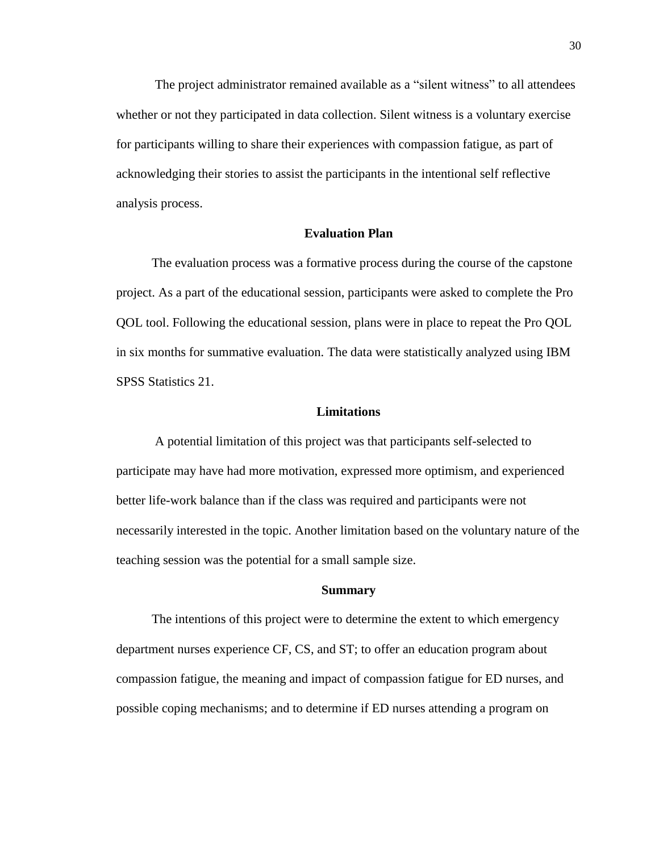The project administrator remained available as a "silent witness" to all attendees whether or not they participated in data collection. Silent witness is a voluntary exercise for participants willing to share their experiences with compassion fatigue, as part of acknowledging their stories to assist the participants in the intentional self reflective analysis process.

### **Evaluation Plan**

 The evaluation process was a formative process during the course of the capstone project. As a part of the educational session, participants were asked to complete the Pro QOL tool. Following the educational session, plans were in place to repeat the Pro QOL in six months for summative evaluation. The data were statistically analyzed using IBM SPSS Statistics 21.

#### **Limitations**

A potential limitation of this project was that participants self-selected to participate may have had more motivation, expressed more optimism, and experienced better life-work balance than if the class was required and participants were not necessarily interested in the topic. Another limitation based on the voluntary nature of the teaching session was the potential for a small sample size.

#### **Summary**

 The intentions of this project were to determine the extent to which emergency department nurses experience CF, CS, and ST; to offer an education program about compassion fatigue, the meaning and impact of compassion fatigue for ED nurses, and possible coping mechanisms; and to determine if ED nurses attending a program on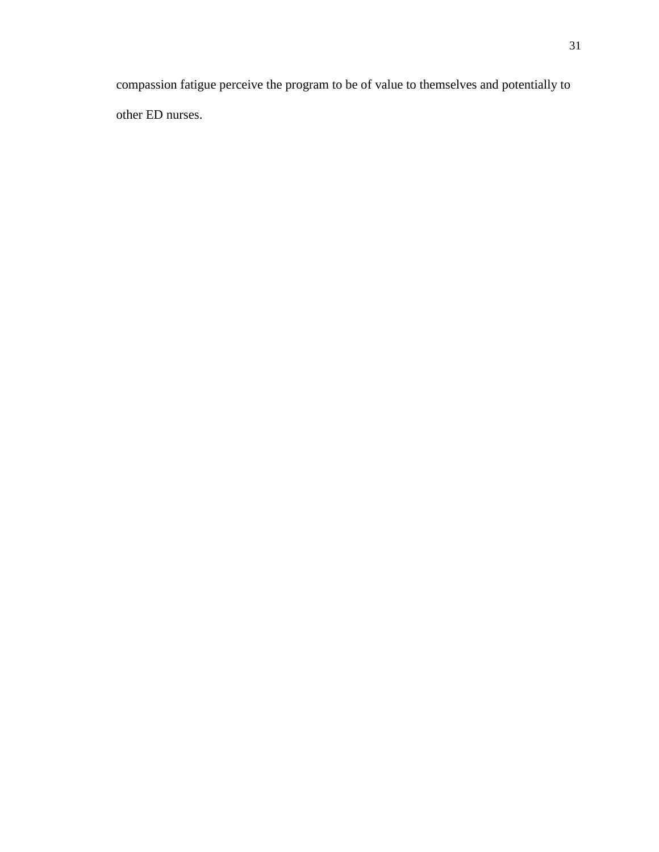compassion fatigue perceive the program to be of value to themselves and potentially to other ED nurses.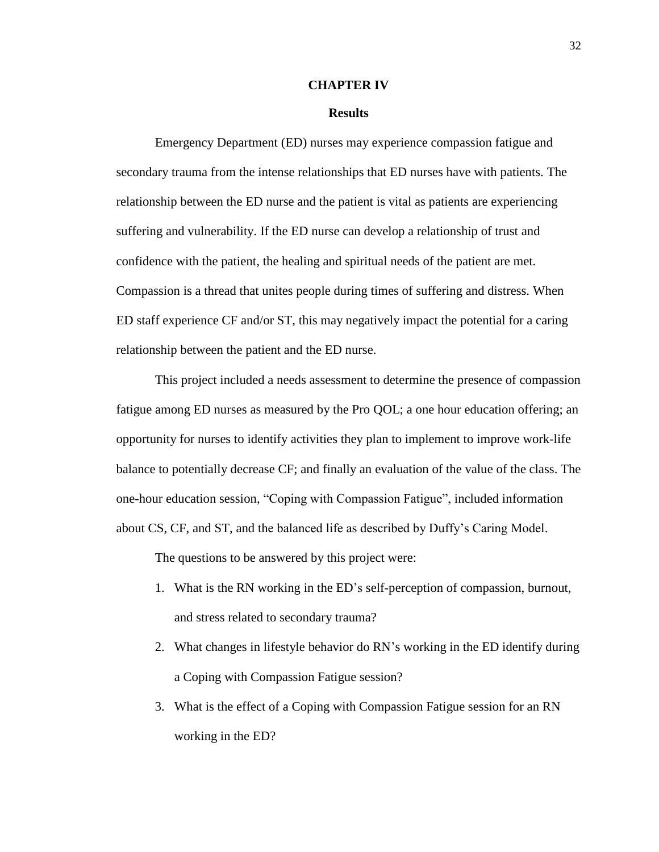#### **CHAPTER IV**

#### **Results**

Emergency Department (ED) nurses may experience compassion fatigue and secondary trauma from the intense relationships that ED nurses have with patients. The relationship between the ED nurse and the patient is vital as patients are experiencing suffering and vulnerability. If the ED nurse can develop a relationship of trust and confidence with the patient, the healing and spiritual needs of the patient are met. Compassion is a thread that unites people during times of suffering and distress. When ED staff experience CF and/or ST, this may negatively impact the potential for a caring relationship between the patient and the ED nurse.

This project included a needs assessment to determine the presence of compassion fatigue among ED nurses as measured by the Pro QOL; a one hour education offering; an opportunity for nurses to identify activities they plan to implement to improve work-life balance to potentially decrease CF; and finally an evaluation of the value of the class. The one-hour education session, "Coping with Compassion Fatigue", included information about CS, CF, and ST, and the balanced life as described by Duffy's Caring Model.

The questions to be answered by this project were:

- 1. What is the RN working in the ED's self-perception of compassion, burnout, and stress related to secondary trauma?
- 2. What changes in lifestyle behavior do RN's working in the ED identify during a Coping with Compassion Fatigue session?
- 3. What is the effect of a Coping with Compassion Fatigue session for an RN working in the ED?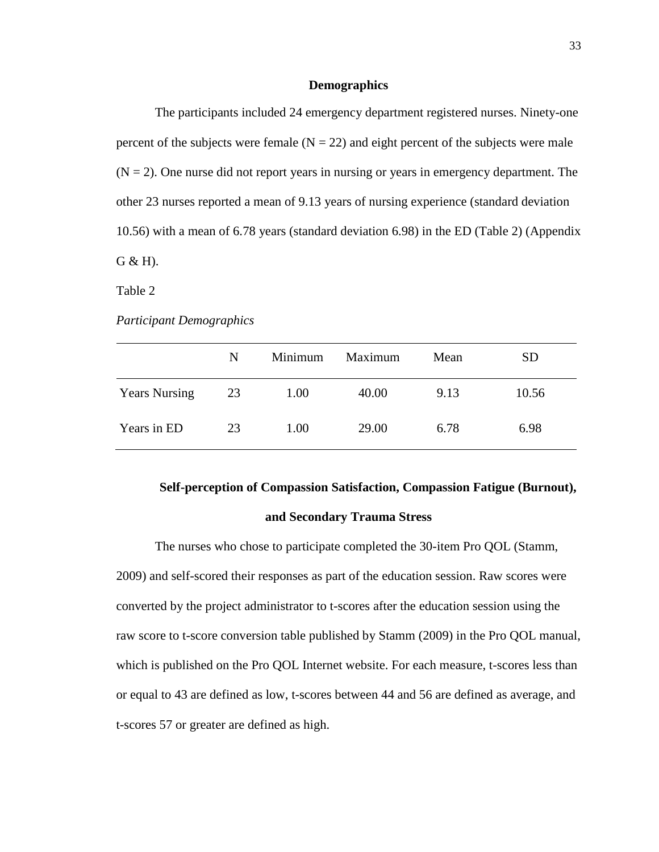#### **Demographics**

The participants included 24 emergency department registered nurses. Ninety-one percent of the subjects were female  $(N = 22)$  and eight percent of the subjects were male  $(N = 2)$ . One nurse did not report years in nursing or years in emergency department. The other 23 nurses reported a mean of 9.13 years of nursing experience (standard deviation 10.56) with a mean of 6.78 years (standard deviation 6.98) in the ED (Table 2) (Appendix G & H).

Table 2

*Participant Demographics*

|                      | N  | Minimum | Maximum | Mean | <b>SD</b> |
|----------------------|----|---------|---------|------|-----------|
| <b>Years Nursing</b> | 23 | 1.00    | 40.00   | 9.13 | 10.56     |
| Years in ED          | 23 | 1.00    | 29.00   | 6.78 | 6.98      |

# **Self-perception of Compassion Satisfaction, Compassion Fatigue (Burnout),**

### **and Secondary Trauma Stress**

The nurses who chose to participate completed the 30-item Pro QOL (Stamm, 2009) and self-scored their responses as part of the education session. Raw scores were converted by the project administrator to t-scores after the education session using the raw score to t-score conversion table published by Stamm (2009) in the Pro QOL manual, which is published on the Pro QOL Internet website. For each measure, t-scores less than or equal to 43 are defined as low, t-scores between 44 and 56 are defined as average, and t-scores 57 or greater are defined as high.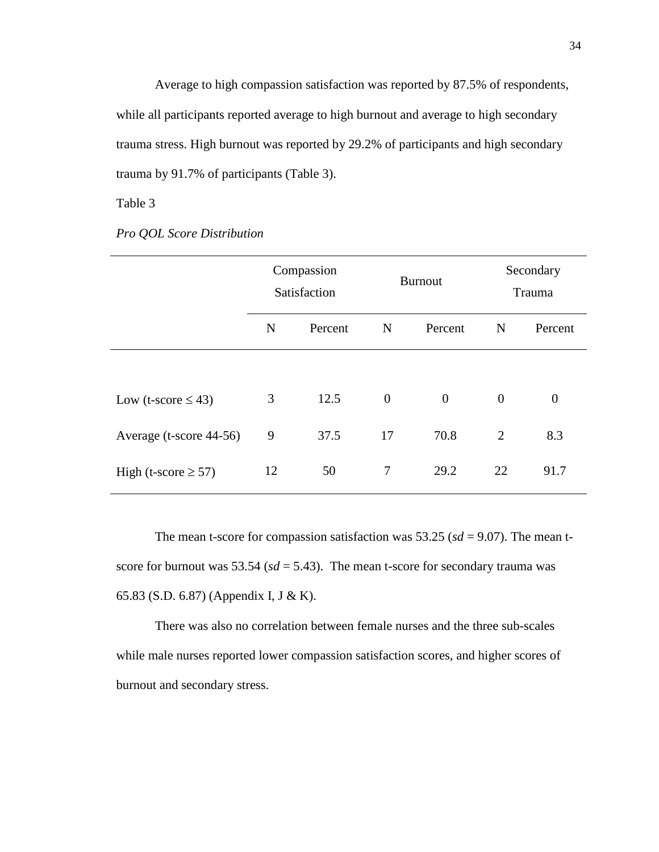Average to high compassion satisfaction was reported by 87.5% of respondents, while all participants reported average to high burnout and average to high secondary trauma stress. High burnout was reported by 29.2% of participants and high secondary trauma by 91.7% of participants (Table 3).

Table 3

|  |  |  |  | <b>Pro QOL Score Distribution</b> |
|--|--|--|--|-----------------------------------|
|--|--|--|--|-----------------------------------|

|                          | Compassion<br>Satisfaction |         | <b>Burnout</b> |                  | Secondary<br>Trauma |          |
|--------------------------|----------------------------|---------|----------------|------------------|---------------------|----------|
|                          | N                          | Percent | $\mathbf N$    | Percent          | N                   | Percent  |
|                          |                            |         |                |                  |                     |          |
| Low (t-score $\leq$ 43)  | 3                          | 12.5    | $\overline{0}$ | $\boldsymbol{0}$ | $\overline{0}$      | $\theta$ |
| Average (t-score 44-56)  | 9                          | 37.5    | 17             | 70.8             | $\overline{2}$      | 8.3      |
| High (t-score $\geq$ 57) | 12                         | 50      | 7              | 29.2             | 22                  | 91.7     |

The mean t-score for compassion satisfaction was  $53.25$  ( $sd = 9.07$ ). The mean tscore for burnout was  $53.54$  ( $sd = 5.43$ ). The mean t-score for secondary trauma was 65.83 (S.D. 6.87) (Appendix I, J & K).

 There was also no correlation between female nurses and the three sub-scales while male nurses reported lower compassion satisfaction scores, and higher scores of burnout and secondary stress.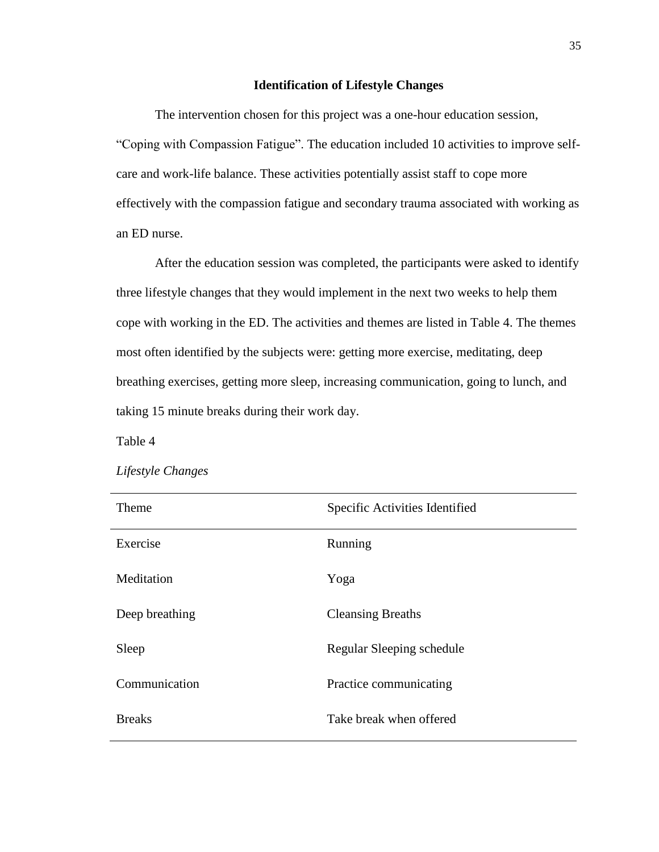#### **Identification of Lifestyle Changes**

 The intervention chosen for this project was a one-hour education session, "Coping with Compassion Fatigue". The education included 10 activities to improve selfcare and work-life balance. These activities potentially assist staff to cope more effectively with the compassion fatigue and secondary trauma associated with working as an ED nurse.

 After the education session was completed, the participants were asked to identify three lifestyle changes that they would implement in the next two weeks to help them cope with working in the ED. The activities and themes are listed in Table 4. The themes most often identified by the subjects were: getting more exercise, meditating, deep breathing exercises, getting more sleep, increasing communication, going to lunch, and taking 15 minute breaks during their work day.

Table 4

| Theme          | Specific Activities Identified |
|----------------|--------------------------------|
| Exercise       | Running                        |
| Meditation     | Yoga                           |
| Deep breathing | <b>Cleansing Breaths</b>       |
| Sleep          | Regular Sleeping schedule      |
| Communication  | Practice communicating         |
| <b>Breaks</b>  | Take break when offered        |

#### *Lifestyle Changes*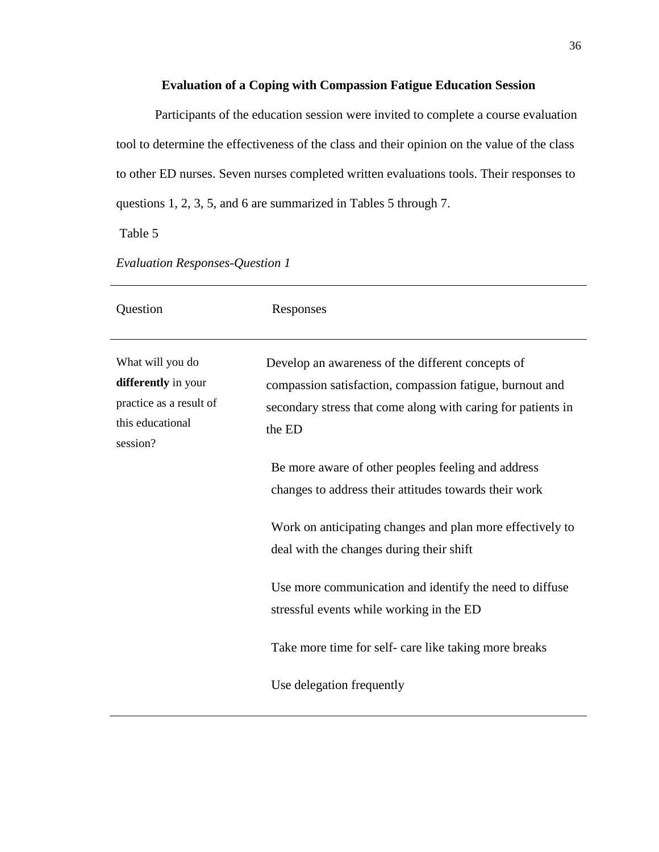### **Evaluation of a Coping with Compassion Fatigue Education Session**

 Participants of the education session were invited to complete a course evaluation tool to determine the effectiveness of the class and their opinion on the value of the class to other ED nurses. Seven nurses completed written evaluations tools. Their responses to questions 1, 2, 3, 5, and 6 are summarized in Tables 5 through 7.

Table 5

| Question                                                                                           | Responses                                                                                                                                                                               |
|----------------------------------------------------------------------------------------------------|-----------------------------------------------------------------------------------------------------------------------------------------------------------------------------------------|
| What will you do<br>differently in your<br>practice as a result of<br>this educational<br>session? | Develop an awareness of the different concepts of<br>compassion satisfaction, compassion fatigue, burnout and<br>secondary stress that come along with caring for patients in<br>the ED |
|                                                                                                    | Be more aware of other peoples feeling and address<br>changes to address their attitudes towards their work                                                                             |
|                                                                                                    | Work on anticipating changes and plan more effectively to<br>deal with the changes during their shift                                                                                   |
|                                                                                                    | Use more communication and identify the need to diffuse<br>stressful events while working in the ED                                                                                     |
|                                                                                                    | Take more time for self- care like taking more breaks                                                                                                                                   |
|                                                                                                    | Use delegation frequently                                                                                                                                                               |

*Evaluation Responses-Question 1*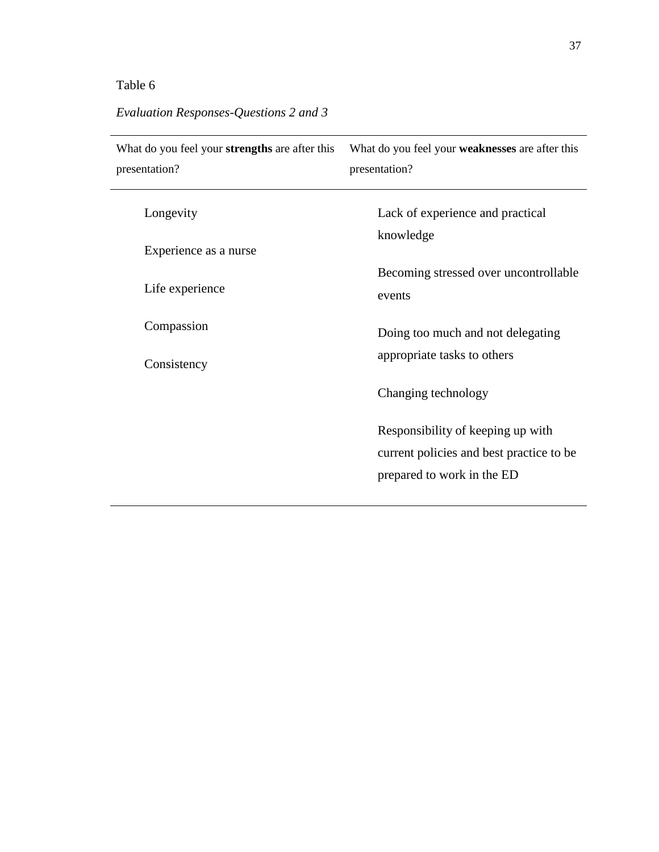# Table 6

# *Evaluation Responses-Questions 2 and 3*

| What do you feel your strengths are after this | What do you feel your <b>weaknesses</b> are after this                                                      |  |  |
|------------------------------------------------|-------------------------------------------------------------------------------------------------------------|--|--|
| presentation?                                  | presentation?                                                                                               |  |  |
| Longevity                                      | Lack of experience and practical<br>knowledge                                                               |  |  |
| Experience as a nurse                          | Becoming stressed over uncontrollable                                                                       |  |  |
| Life experience                                | events                                                                                                      |  |  |
| Compassion                                     | Doing too much and not delegating                                                                           |  |  |
| Consistency                                    | appropriate tasks to others                                                                                 |  |  |
|                                                | Changing technology                                                                                         |  |  |
|                                                | Responsibility of keeping up with<br>current policies and best practice to be<br>prepared to work in the ED |  |  |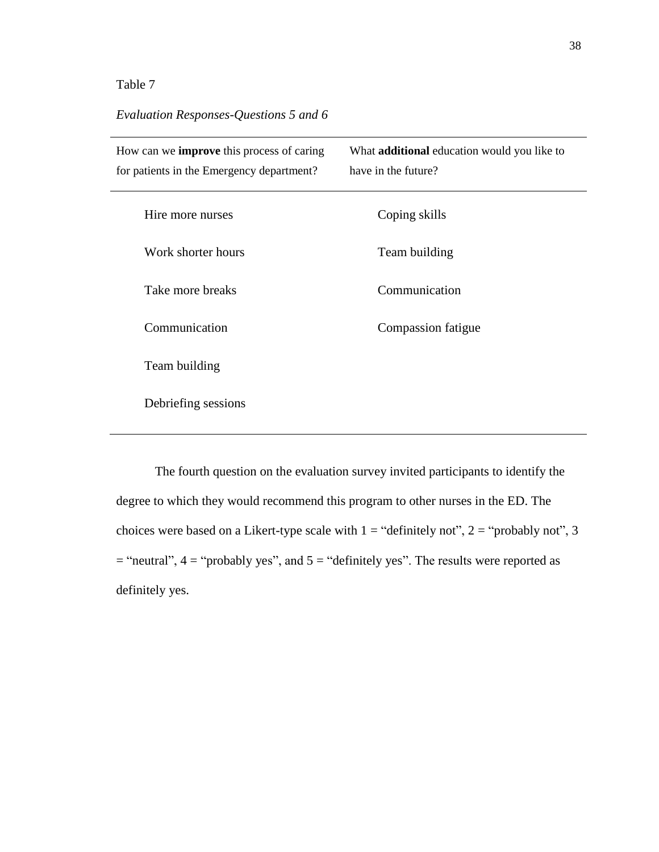### Table 7

### *Evaluation Responses-Questions 5 and 6*

| How can we <b>improve</b> this process of caring<br>for patients in the Emergency department? | What <b>additional</b> education would you like to<br>have in the future? |
|-----------------------------------------------------------------------------------------------|---------------------------------------------------------------------------|
| Hire more nurses                                                                              | Coping skills                                                             |
| Work shorter hours                                                                            | Team building                                                             |
| Take more breaks                                                                              | Communication                                                             |
| Communication                                                                                 | Compassion fatigue                                                        |
| Team building                                                                                 |                                                                           |
| Debriefing sessions                                                                           |                                                                           |
|                                                                                               |                                                                           |

The fourth question on the evaluation survey invited participants to identify the degree to which they would recommend this program to other nurses in the ED. The choices were based on a Likert-type scale with  $1 =$  "definitely not",  $2 =$  "probably not", 3  $=$  "neutral",  $4 =$  "probably yes", and  $5 =$  "definitely yes". The results were reported as definitely yes.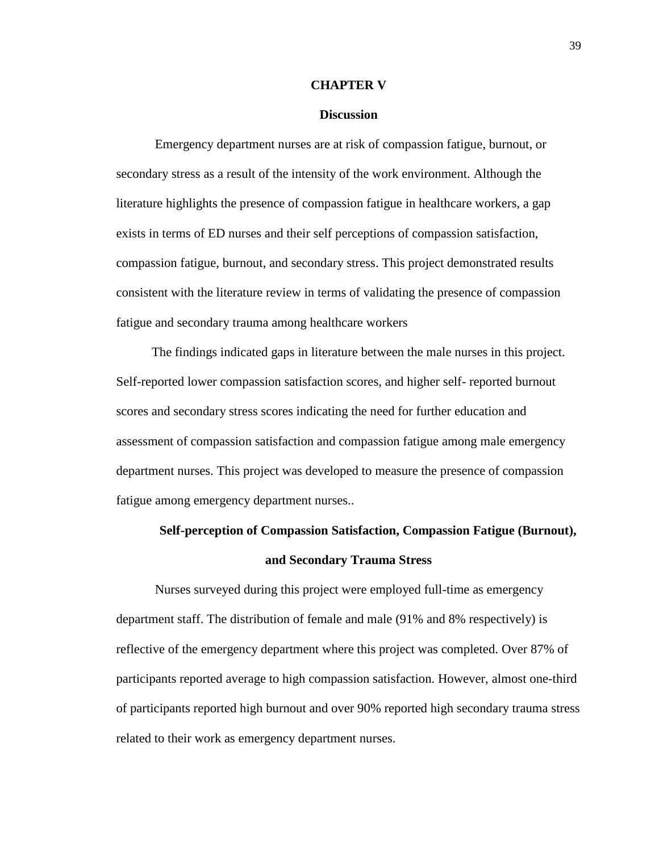#### **CHAPTER V**

#### **Discussion**

Emergency department nurses are at risk of compassion fatigue, burnout, or secondary stress as a result of the intensity of the work environment. Although the literature highlights the presence of compassion fatigue in healthcare workers, a gap exists in terms of ED nurses and their self perceptions of compassion satisfaction, compassion fatigue, burnout, and secondary stress. This project demonstrated results consistent with the literature review in terms of validating the presence of compassion fatigue and secondary trauma among healthcare workers

 The findings indicated gaps in literature between the male nurses in this project. Self-reported lower compassion satisfaction scores, and higher self- reported burnout scores and secondary stress scores indicating the need for further education and assessment of compassion satisfaction and compassion fatigue among male emergency department nurses. This project was developed to measure the presence of compassion fatigue among emergency department nurses..

# **Self-perception of Compassion Satisfaction, Compassion Fatigue (Burnout), and Secondary Trauma Stress**

 Nurses surveyed during this project were employed full-time as emergency department staff. The distribution of female and male (91% and 8% respectively) is reflective of the emergency department where this project was completed. Over 87% of participants reported average to high compassion satisfaction. However, almost one-third of participants reported high burnout and over 90% reported high secondary trauma stress related to their work as emergency department nurses.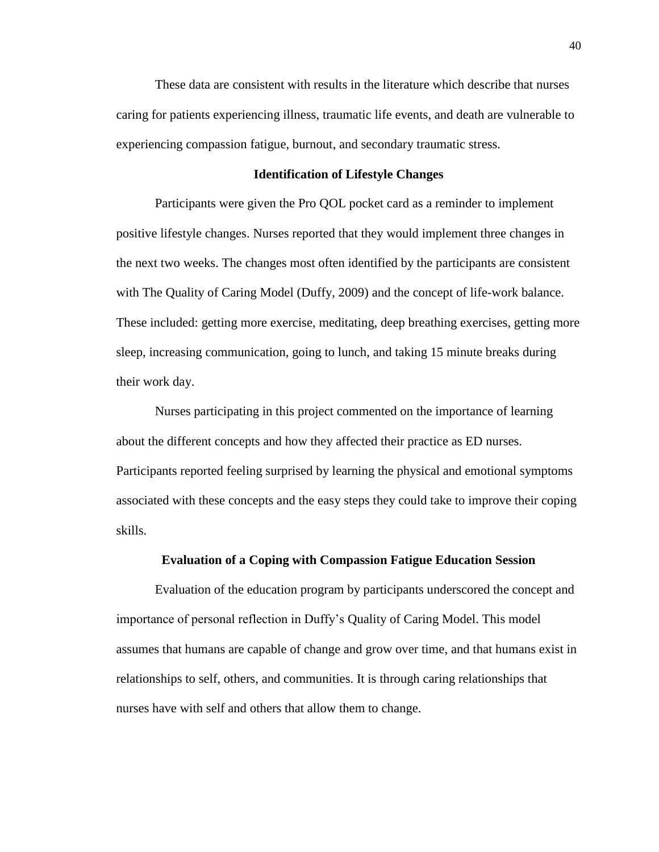These data are consistent with results in the literature which describe that nurses caring for patients experiencing illness, traumatic life events, and death are vulnerable to experiencing compassion fatigue, burnout, and secondary traumatic stress.

#### **Identification of Lifestyle Changes**

Participants were given the Pro QOL pocket card as a reminder to implement positive lifestyle changes. Nurses reported that they would implement three changes in the next two weeks. The changes most often identified by the participants are consistent with The Quality of Caring Model (Duffy, 2009) and the concept of life-work balance. These included: getting more exercise, meditating, deep breathing exercises, getting more sleep, increasing communication, going to lunch, and taking 15 minute breaks during their work day.

Nurses participating in this project commented on the importance of learning about the different concepts and how they affected their practice as ED nurses. Participants reported feeling surprised by learning the physical and emotional symptoms associated with these concepts and the easy steps they could take to improve their coping skills.

#### **Evaluation of a Coping with Compassion Fatigue Education Session**

Evaluation of the education program by participants underscored the concept and importance of personal reflection in Duffy's Quality of Caring Model. This model assumes that humans are capable of change and grow over time, and that humans exist in relationships to self, others, and communities. It is through caring relationships that nurses have with self and others that allow them to change.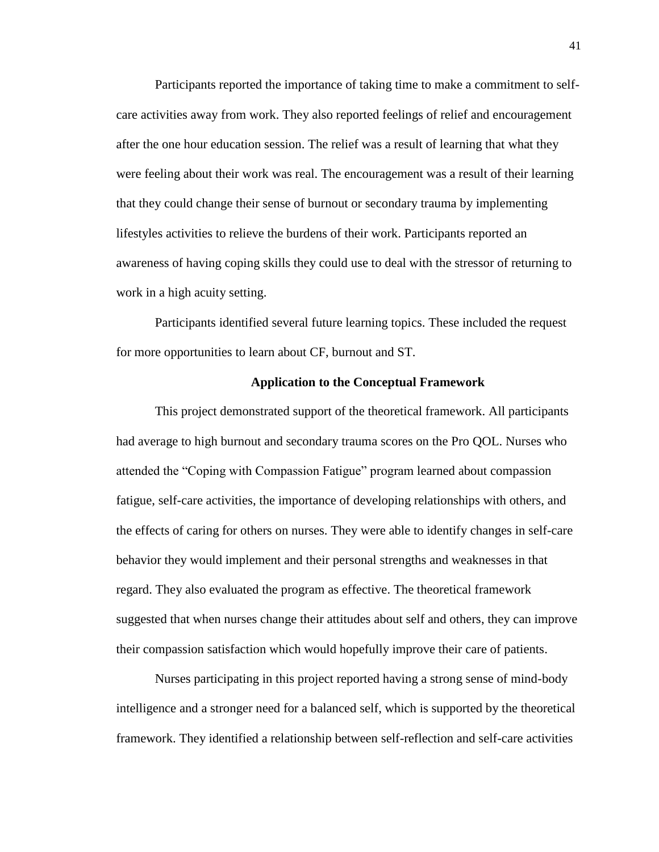Participants reported the importance of taking time to make a commitment to selfcare activities away from work. They also reported feelings of relief and encouragement after the one hour education session. The relief was a result of learning that what they were feeling about their work was real. The encouragement was a result of their learning that they could change their sense of burnout or secondary trauma by implementing lifestyles activities to relieve the burdens of their work. Participants reported an awareness of having coping skills they could use to deal with the stressor of returning to work in a high acuity setting.

Participants identified several future learning topics. These included the request for more opportunities to learn about CF, burnout and ST.

#### **Application to the Conceptual Framework**

This project demonstrated support of the theoretical framework. All participants had average to high burnout and secondary trauma scores on the Pro QOL. Nurses who attended the "Coping with Compassion Fatigue" program learned about compassion fatigue, self-care activities, the importance of developing relationships with others, and the effects of caring for others on nurses. They were able to identify changes in self-care behavior they would implement and their personal strengths and weaknesses in that regard. They also evaluated the program as effective. The theoretical framework suggested that when nurses change their attitudes about self and others, they can improve their compassion satisfaction which would hopefully improve their care of patients.

Nurses participating in this project reported having a strong sense of mind-body intelligence and a stronger need for a balanced self, which is supported by the theoretical framework. They identified a relationship between self-reflection and self-care activities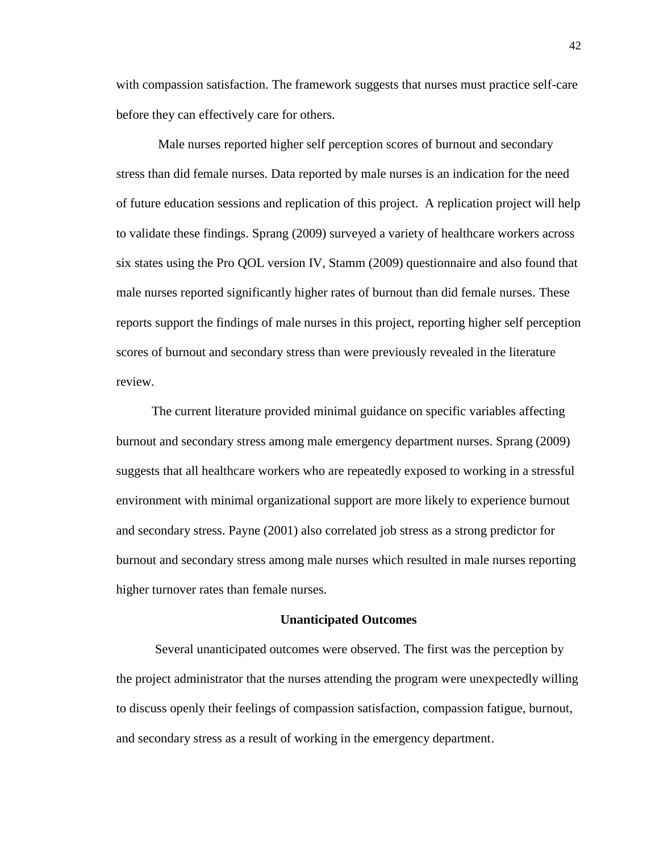with compassion satisfaction. The framework suggests that nurses must practice self-care before they can effectively care for others.

Male nurses reported higher self perception scores of burnout and secondary stress than did female nurses. Data reported by male nurses is an indication for the need of future education sessions and replication of this project. A replication project will help to validate these findings. Sprang (2009) surveyed a variety of healthcare workers across six states using the Pro QOL version IV, Stamm (2009) questionnaire and also found that male nurses reported significantly higher rates of burnout than did female nurses. These reports support the findings of male nurses in this project, reporting higher self perception scores of burnout and secondary stress than were previously revealed in the literature review.

 The current literature provided minimal guidance on specific variables affecting burnout and secondary stress among male emergency department nurses. Sprang (2009) suggests that all healthcare workers who are repeatedly exposed to working in a stressful environment with minimal organizational support are more likely to experience burnout and secondary stress. Payne (2001) also correlated job stress as a strong predictor for burnout and secondary stress among male nurses which resulted in male nurses reporting higher turnover rates than female nurses.

#### **Unanticipated Outcomes**

Several unanticipated outcomes were observed. The first was the perception by the project administrator that the nurses attending the program were unexpectedly willing to discuss openly their feelings of compassion satisfaction, compassion fatigue, burnout, and secondary stress as a result of working in the emergency department.

42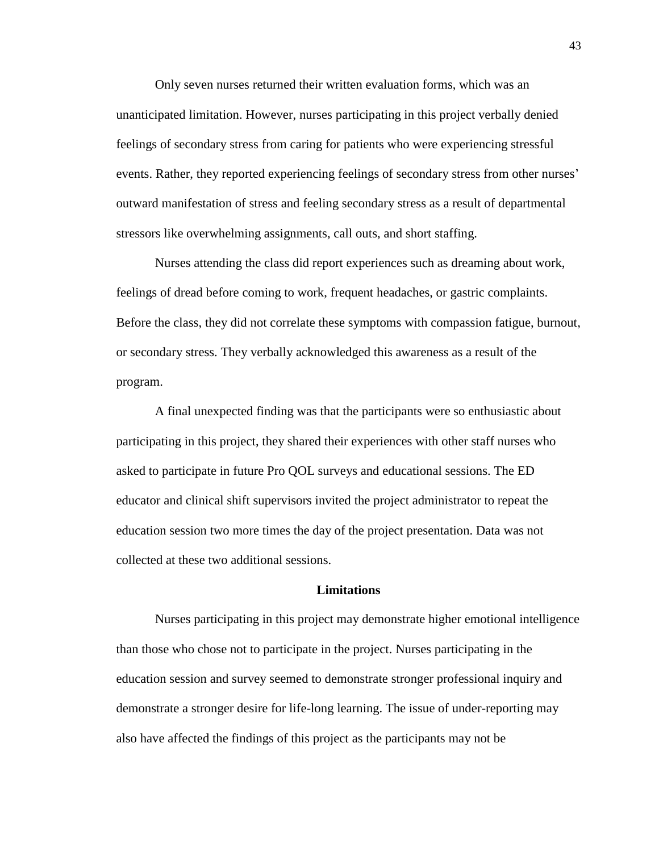Only seven nurses returned their written evaluation forms, which was an unanticipated limitation. However, nurses participating in this project verbally denied feelings of secondary stress from caring for patients who were experiencing stressful events. Rather, they reported experiencing feelings of secondary stress from other nurses' outward manifestation of stress and feeling secondary stress as a result of departmental stressors like overwhelming assignments, call outs, and short staffing.

Nurses attending the class did report experiences such as dreaming about work, feelings of dread before coming to work, frequent headaches, or gastric complaints. Before the class, they did not correlate these symptoms with compassion fatigue, burnout, or secondary stress. They verbally acknowledged this awareness as a result of the program.

A final unexpected finding was that the participants were so enthusiastic about participating in this project, they shared their experiences with other staff nurses who asked to participate in future Pro QOL surveys and educational sessions. The ED educator and clinical shift supervisors invited the project administrator to repeat the education session two more times the day of the project presentation. Data was not collected at these two additional sessions.

#### **Limitations**

Nurses participating in this project may demonstrate higher emotional intelligence than those who chose not to participate in the project. Nurses participating in the education session and survey seemed to demonstrate stronger professional inquiry and demonstrate a stronger desire for life-long learning. The issue of under-reporting may also have affected the findings of this project as the participants may not be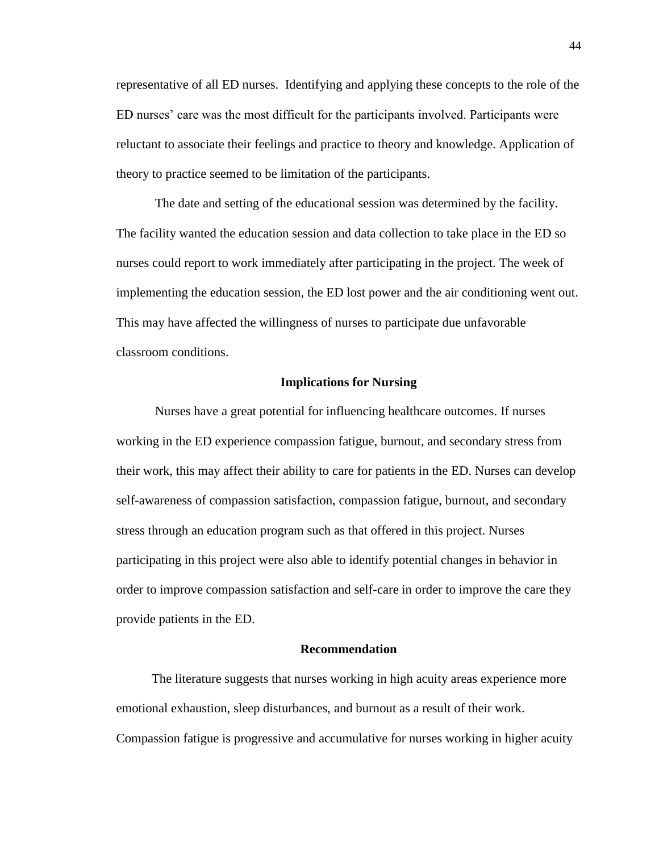representative of all ED nurses. Identifying and applying these concepts to the role of the ED nurses' care was the most difficult for the participants involved. Participants were reluctant to associate their feelings and practice to theory and knowledge. Application of theory to practice seemed to be limitation of the participants.

The date and setting of the educational session was determined by the facility. The facility wanted the education session and data collection to take place in the ED so nurses could report to work immediately after participating in the project. The week of implementing the education session, the ED lost power and the air conditioning went out. This may have affected the willingness of nurses to participate due unfavorable classroom conditions.

#### **Implications for Nursing**

 Nurses have a great potential for influencing healthcare outcomes. If nurses working in the ED experience compassion fatigue, burnout, and secondary stress from their work, this may affect their ability to care for patients in the ED. Nurses can develop self-awareness of compassion satisfaction, compassion fatigue, burnout, and secondary stress through an education program such as that offered in this project. Nurses participating in this project were also able to identify potential changes in behavior in order to improve compassion satisfaction and self-care in order to improve the care they provide patients in the ED.

#### **Recommendation**

 The literature suggests that nurses working in high acuity areas experience more emotional exhaustion, sleep disturbances, and burnout as a result of their work. Compassion fatigue is progressive and accumulative for nurses working in higher acuity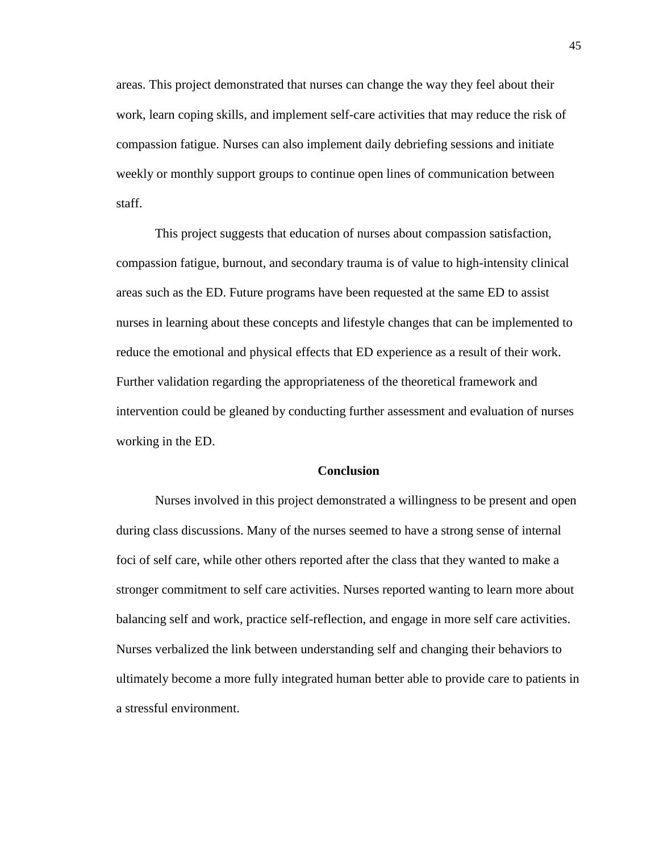areas. This project demonstrated that nurses can change the way they feel about their work, learn coping skills, and implement self-care activities that may reduce the risk of compassion fatigue. Nurses can also implement daily debriefing sessions and initiate weekly or monthly support groups to continue open lines of communication between staff.

This project suggests that education of nurses about compassion satisfaction, compassion fatigue, burnout, and secondary trauma is of value to high-intensity clinical areas such as the ED. Future programs have been requested at the same ED to assist nurses in learning about these concepts and lifestyle changes that can be implemented to reduce the emotional and physical effects that ED experience as a result of their work. Further validation regarding the appropriateness of the theoretical framework and intervention could be gleaned by conducting further assessment and evaluation of nurses working in the ED.

#### **Conclusion**

 Nurses involved in this project demonstrated a willingness to be present and open during class discussions. Many of the nurses seemed to have a strong sense of internal foci of self care, while other others reported after the class that they wanted to make a stronger commitment to self care activities. Nurses reported wanting to learn more about balancing self and work, practice self-reflection, and engage in more self care activities. Nurses verbalized the link between understanding self and changing their behaviors to ultimately become a more fully integrated human better able to provide care to patients in a stressful environment.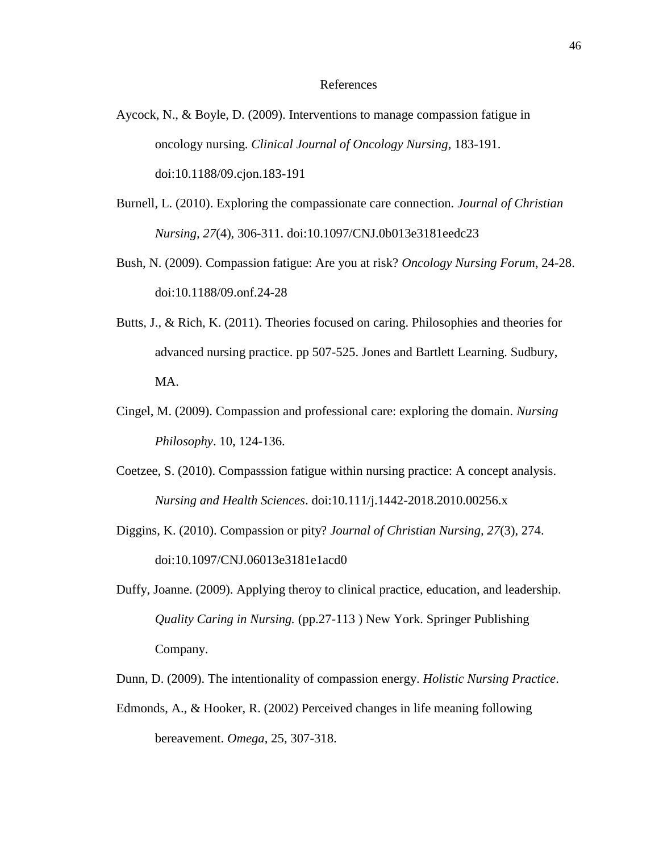#### References

- Aycock, N., & Boyle, D. (2009). Interventions to manage compassion fatigue in oncology nursing. *Clinical Journal of Oncology Nursing*, 183-191. doi:10.1188/09.cjon.183-191
- Burnell, L. (2010). Exploring the compassionate care connection. *Journal of Christian Nursing, 27*(4), 306-311. doi:10.1097/CNJ.0b013e3181eedc23
- Bush, N. (2009). Compassion fatigue: Are you at risk? *Oncology Nursing Forum*, 24-28. doi:10.1188/09.onf.24-28
- Butts, J., & Rich, K. (2011). Theories focused on caring. Philosophies and theories for advanced nursing practice. pp 507-525. Jones and Bartlett Learning. Sudbury, MA.
- Cingel, M. (2009). Compassion and professional care: exploring the domain. *Nursing Philosophy*. 10, 124-136.
- Coetzee, S. (2010). Compasssion fatigue within nursing practice: A concept analysis. *Nursing and Health Sciences*. doi:10.111/j.1442-2018.2010.00256.x
- Diggins, K. (2010). Compassion or pity? *Journal of Christian Nursing, 27*(3), 274. doi:10.1097/CNJ.06013e3181e1acd0
- Duffy, Joanne. (2009). Applying theroy to clinical practice, education, and leadership. *Quality Caring in Nursing.* (pp.27-113 ) New York. Springer Publishing Company.
- Dunn, D. (2009). The intentionality of compassion energy. *Holistic Nursing Practice*.
- Edmonds, A., & Hooker, R. (2002) Perceived changes in life meaning following bereavement. *Omega*, 25, 307-318.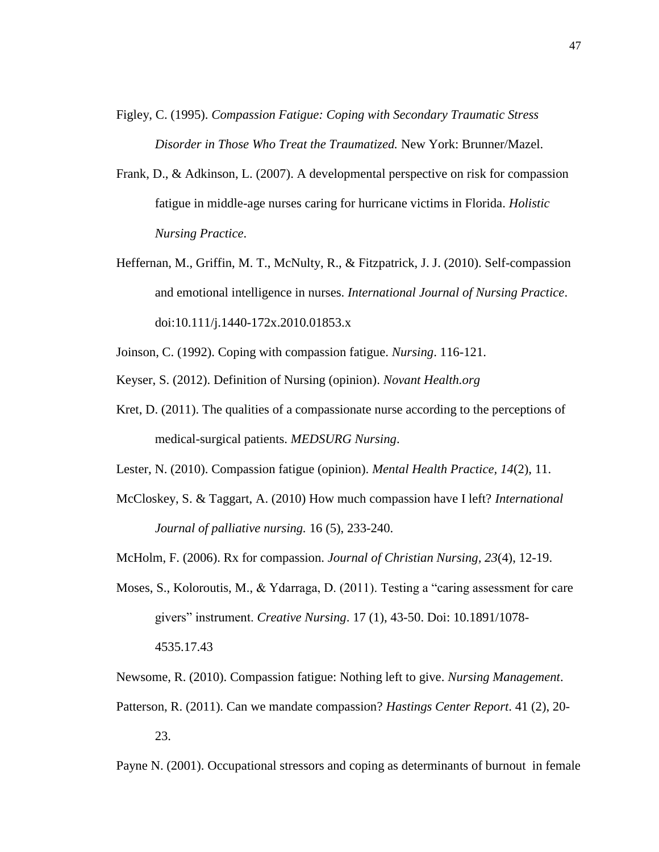- Figley, C. (1995). *Compassion Fatigue: Coping with Secondary Traumatic Stress Disorder in Those Who Treat the Traumatized.* New York: Brunner/Mazel.
- Frank, D., & Adkinson, L. (2007). A developmental perspective on risk for compassion fatigue in middle-age nurses caring for hurricane victims in Florida. *Holistic Nursing Practice*.
- Heffernan, M., Griffin, M. T., McNulty, R., & Fitzpatrick, J. J. (2010). Self-compassion and emotional intelligence in nurses. *International Journal of Nursing Practice*. doi:10.111/j.1440-172x.2010.01853.x
- Joinson, C. (1992). Coping with compassion fatigue. *Nursing*. 116-121.
- Keyser, S. (2012). Definition of Nursing (opinion). *Novant Health.org*
- Kret, D. (2011). The qualities of a compassionate nurse according to the perceptions of medical-surgical patients. *MEDSURG Nursing*.
- Lester, N. (2010). Compassion fatigue (opinion). *Mental Health Practice, 14*(2), 11.
- McCloskey, S. & Taggart, A. (2010) How much compassion have I left? *International Journal of palliative nursing.* 16 (5), 233-240.
- McHolm, F. (2006). Rx for compassion. *Journal of Christian Nursing, 23*(4), 12-19.
- Moses, S., Koloroutis, M., & Ydarraga, D. (2011). Testing a "caring assessment for care givers" instrument. *Creative Nursing*. 17 (1), 43-50. Doi: 10.1891/1078- 4535.17.43
- Newsome, R. (2010). Compassion fatigue: Nothing left to give. *Nursing Management*.
- Patterson, R. (2011). Can we mandate compassion? *Hastings Center Report*. 41 (2), 20- 23.

Payne N. (2001). Occupational stressors and coping as determinants of burnout in female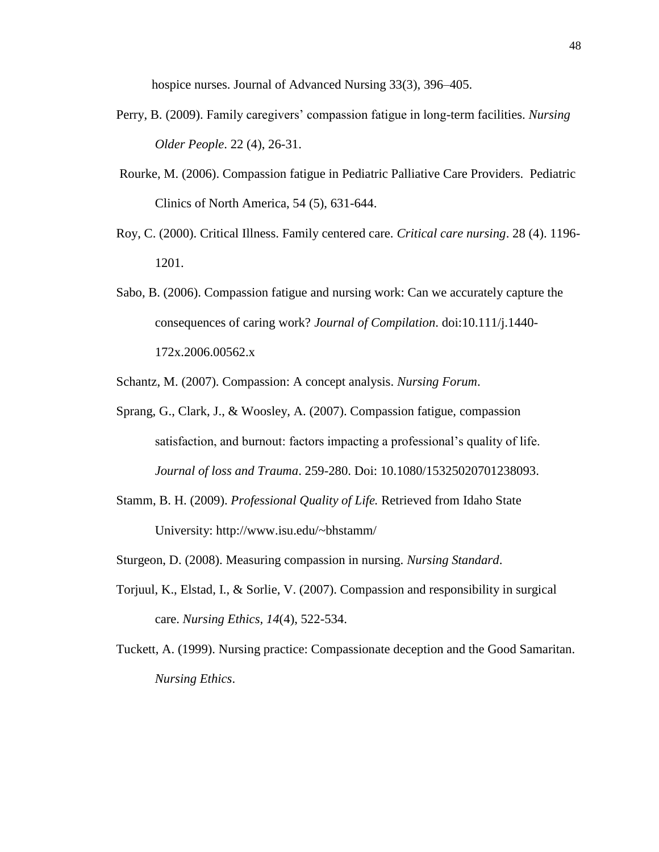hospice nurses. Journal of Advanced Nursing 33(3), 396–405.

- Perry, B. (2009). Family caregivers' compassion fatigue in long-term facilities. *Nursing Older People*. 22 (4), 26-31.
- Rourke, M. (2006). Compassion fatigue in Pediatric Palliative Care Providers. Pediatric Clinics of North America, 54 (5), 631-644.
- Roy, C. (2000). Critical Illness. Family centered care. *Critical care nursing*. 28 (4). 1196- 1201.
- Sabo, B. (2006). Compassion fatigue and nursing work: Can we accurately capture the consequences of caring work? *Journal of Compilation*. doi:10.111/j.1440- 172x.2006.00562.x

Schantz, M. (2007). Compassion: A concept analysis. *Nursing Forum*.

- Sprang, G., Clark, J., & Woosley, A. (2007). Compassion fatigue, compassion satisfaction, and burnout: factors impacting a professional's quality of life. *Journal of loss and Trauma*. 259-280. Doi: 10.1080/15325020701238093.
- Stamm, B. H. (2009). *Professional Quality of Life.* Retrieved from Idaho State University: http://www.isu.edu/~bhstamm/
- Sturgeon, D. (2008). Measuring compassion in nursing. *Nursing Standard*.
- Torjuul, K., Elstad, I., & Sorlie, V. (2007). Compassion and responsibility in surgical care. *Nursing Ethics, 14*(4), 522-534.
- Tuckett, A. (1999). Nursing practice: Compassionate deception and the Good Samaritan. *Nursing Ethics*.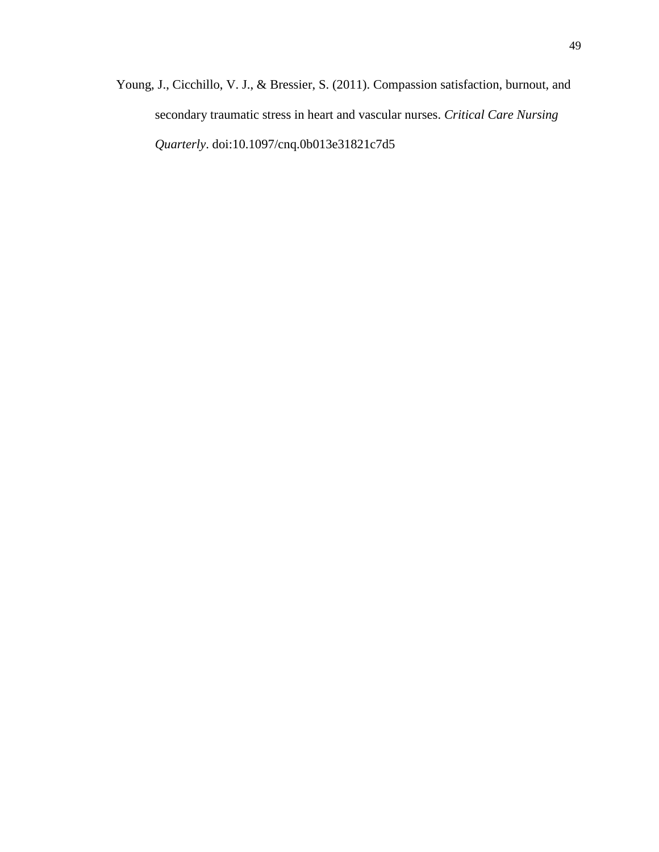Young, J., Cicchillo, V. J., & Bressier, S. (2011). Compassion satisfaction, burnout, and secondary traumatic stress in heart and vascular nurses. *Critical Care Nursing Quarterly*. doi:10.1097/cnq.0b013e31821c7d5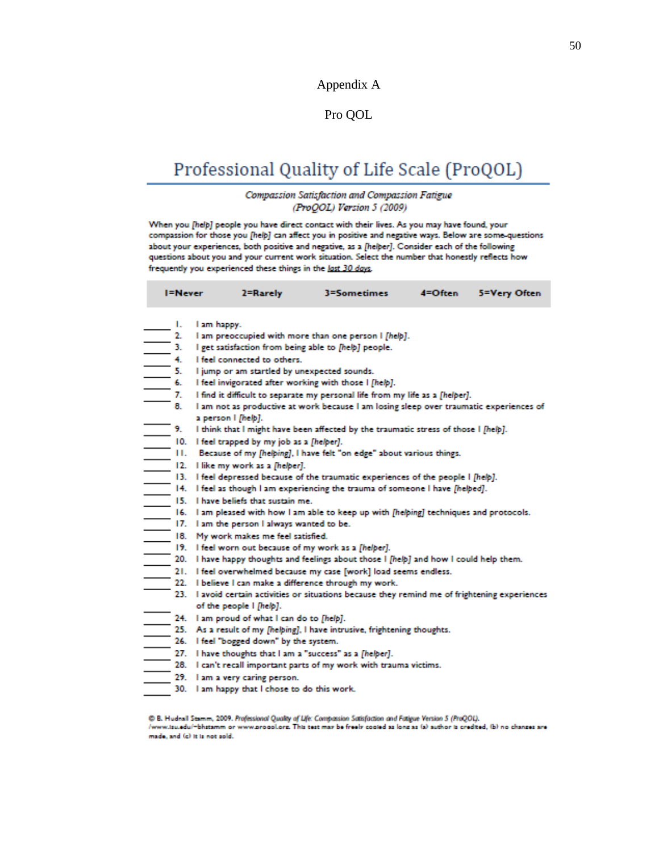#### Appendix A

### Pro QOL

# Professional Quality of Life Scale (ProQOL)

#### Compassion Satisfaction and Compassion Fatigue (ProQOL) Version 5 (2009)

When you [help] people you have direct contact with their lives. As you may have found, your compassion for those you [help] can affect you in positive and negative ways. Below are some-questions about your experiences, both positive and negative, as a [helper]. Consider each of the following questions about you and your current work situation. Select the number that honestly reflects how frequently you experienced these things in the last 30 days.

3=Sometimes

 $4 = 9$ ften

5=Very Often

I=Never

2=Rarely

| ۱.  | I am happy.                                                                                |
|-----|--------------------------------------------------------------------------------------------|
| 2.  | I am preoccupied with more than one person I [help].                                       |
| 3.  | I get satisfaction from being able to [help] people.                                       |
| 4.  | I feel connected to others.                                                                |
| 5.  | I jump or am startled by unexpected sounds.                                                |
| 6.  | I feel invigorated after working with those I [help].                                      |
| 7.  | I find it difficult to separate my personal life from my life as a [helper].               |
| 8.  | I am not as productive at work because I am losing sleep over traumatic experiences of     |
|     | a person I [help].                                                                         |
| 9.  | I think that I might have been affected by the traumatic stress of those I [help].         |
| 10. | I feel trapped by my job as a [helper].                                                    |
| н.  | Because of my [helping], I have felt "on edge" about various things.                       |
| 12. | I like my work as a [helper].                                                              |
| 13. | I feel depressed because of the traumatic experiences of the people I [help].              |
| 14. | I feel as though I am experiencing the trauma of someone I have [helped].                  |
| 15. | I have beliefs that sustain me.                                                            |
| 16. | I am pleased with how I am able to keep up with [helping] techniques and protocols.        |
| 17. | I am the person I always wanted to be.                                                     |
| 18. | My work makes me feel satisfied.                                                           |
|     | 19. I feel worn out because of my work as a [helper].                                      |
| 20. | I have happy thoughts and feelings about those I [help] and how I could help them.         |
|     | 21. I feel overwhelmed because my case [work] load seems endless.                          |
| 22. | I believe I can make a difference through my work.                                         |
| 23. | I avoid certain activities or situations because they remind me of frightening experiences |
|     | of the people I [help].                                                                    |
|     | 24. I am proud of what I can do to [help].                                                 |
|     | 25. As a result of my [helping], I have intrusive, frightening thoughts.                   |
| 26. | I feel "bogged down" by the system.                                                        |
|     | 27. I have thoughts that I am a "success" as a [helper].                                   |
| 28. | I can't recall important parts of my work with trauma victims.                             |
| 29. | I am a very caring person.                                                                 |
| 30. | I am happy that I chose to do this work.                                                   |

C B. Hudnall Stamm, 2009. Professional Quality of Life: Compassion Satisfaction and Fatigue Version 5 (ProQOL). /www.tsu.edu/-bhstamm or www.propol.org. This test may be freely cooled as long as (a) suthor is credited, (b) no changes are made, and (c) it is not sold.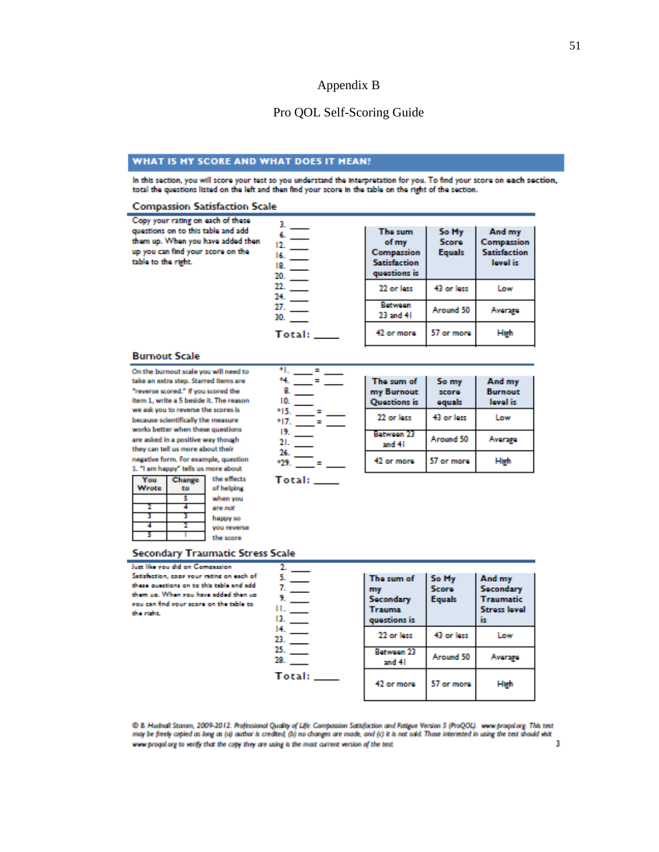#### Appendix B

#### Pro QOL Self-Scoring Guide

#### WHAT IS MY SCORE AND WHAT DOES IT MEAN?

In this section, you will score your test so you understand the interpretation for you. To find your score on each section, total the questions listed on the left and then find your score in the table on the right of the section.

#### **Compassion Satisfaction Scale**

| Copy your rating on each of these<br>questions on to this table and add<br>them up. When you have added then<br>up you can find your score on the<br>table to the right. | 16.<br>18.<br>20.   | The sum<br>of my<br>Compassion<br><b>Satisfaction</b><br>questions is | So My<br>Score<br><b>Equals</b> | And my<br>Compassion<br><b>Satisfaction</b><br>lovel is |
|--------------------------------------------------------------------------------------------------------------------------------------------------------------------------|---------------------|-----------------------------------------------------------------------|---------------------------------|---------------------------------------------------------|
|                                                                                                                                                                          | 22.<br>$24.$ $\_\_$ | 22 or less                                                            | 43 or less                      | Low                                                     |
|                                                                                                                                                                          | 27.<br>30.          | Between<br>23 and 41                                                  | Around 50                       | <b>Average</b>                                          |
|                                                                                                                                                                          | Total:              | 42 or more                                                            | 57 or more                      | High                                                    |

#### **Burnout Scale**

On the burnout scale you will need to take an extra step. Starred items are "reverse scored." If you scored the item 1, write a 5 beside it. The reason we ask you to reverse the scores is because scientifically the measure works better when these questions are asked in a positive way though they can tell us more about their ke form. For example, a

| negative form, ror example, question<br>1. "I am happy" tells us more about |        |             |  |
|-----------------------------------------------------------------------------|--------|-------------|--|
| You                                                                         | Change | the effects |  |
| Wrote                                                                       |        | of helping  |  |
|                                                                             |        | when you    |  |
|                                                                             |        | are not     |  |
|                                                                             |        |             |  |

|     | м. —                     |
|-----|--------------------------|
| 8.  |                          |
| 10. |                          |
|     | $+15.$                   |
|     | 17.<br>=                 |
| 19. | $\overline{\phantom{a}}$ |
|     | 21.                      |
| 26. |                          |
|     | $+29.$                   |
|     |                          |

| The sum of<br>my Burnout<br><b>Ouestions is</b> | So my<br>score<br>oquals | And my<br><b>Burnout</b><br>lovel is |
|-------------------------------------------------|--------------------------|--------------------------------------|
| 22 or less                                      | 43 or less               | Low                                  |
| Between 23<br>and 41                            | Around 50                | Aver 290                             |
| 42 or more                                      | 57 or more               | High                                 |

Total: \_\_\_

#### **Secondary Traumatic Stress Scale**

you reverse

the score

#### Just like you did on Satisfaction, copy x

ъ

| Just like you did on Compassion<br>Satisfaction, copy your rating on each of<br>these questions on to this table and add<br>them up. When you have added then up<br>you can find your score on the table to<br>the right. | 13. L<br>$14.$ $-$<br>23. | The sum of<br>my<br>Secondary<br><b>Trauma</b><br>questions is | So My<br>Score<br><b>Equals</b> | And my<br>Secondary<br><b>Traumatic</b><br><b>Stress level</b><br>īs |
|---------------------------------------------------------------------------------------------------------------------------------------------------------------------------------------------------------------------------|---------------------------|----------------------------------------------------------------|---------------------------------|----------------------------------------------------------------------|
|                                                                                                                                                                                                                           |                           | 22 or less                                                     | 43 or loss                      | Low                                                                  |
|                                                                                                                                                                                                                           | 25.<br>28.                | Between 23<br>and 41                                           | Around 50                       | <b>Average</b>                                                       |
|                                                                                                                                                                                                                           | Total:                    | 42 or more                                                     | 57 or more                      | High                                                                 |

C B. Hudnall Stannn, 2009-2012. Professional Quality of Life: Compassion Satisfaction and Fatigue Version 5 (ProQOL). www.proqol.org. This test<br>may be freely copied as long as (a) author is credited, (b) no changes are mod www.progol.org to verify that the copy they are using is the most current version of the test. Þ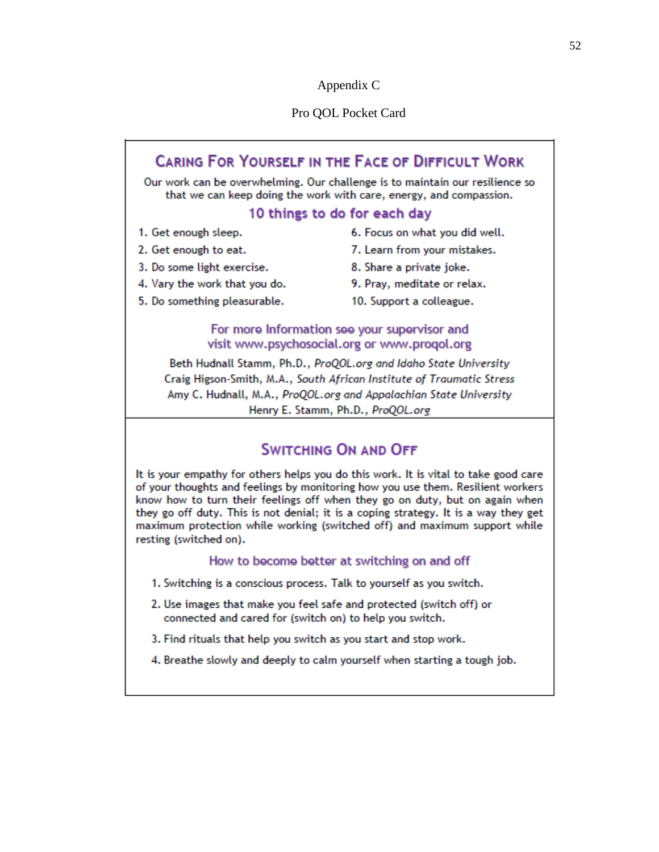#### Appendix C

#### Pro QOL Pocket Card

#### **CARING FOR YOURSELF IN THE FACE OF DIFFICULT WORK** Our work can be overwhelming. Our challenge is to maintain our resilience so that we can keep doing the work with care, energy, and compassion. 10 things to do for each day 1. Get enough sleep. 6. Focus on what you did well. 2. Get enough to eat. 7. Learn from your mistakes. 3. Do some light exercise. 8. Share a private joke. 4. Vary the work that you do. 9. Pray, meditate or relax. 5. Do something pleasurable. 10. Support a colleague. For more Information see your supervisor and visit www.psychosocial.org or www.progol.org Beth Hudnall Stamm, Ph.D., ProQOL.org and Idaho State University

Craig Higson-Smith, M.A., South African Institute of Traumatic Stress Amy C. Hudnall, M.A., ProQOL.org and Appalachian State University Henry E. Stamm, Ph.D., ProQOL.org

# **SWITCHING ON AND OFF**

It is your empathy for others helps you do this work. It is vital to take good care of your thoughts and feelings by monitoring how you use them. Resilient workers know how to turn their feelings off when they go on duty, but on again when they go off duty. This is not denial; it is a coping strategy. It is a way they get maximum protection while working (switched off) and maximum support while resting (switched on).

#### How to become better at switching on and off

- 1. Switching is a conscious process. Talk to yourself as you switch.
- 2. Use images that make you feel safe and protected (switch off) or connected and cared for (switch on) to help you switch.
- 3. Find rituals that help you switch as you start and stop work.
- 4. Breathe slowly and deeply to calm yourself when starting a tough job.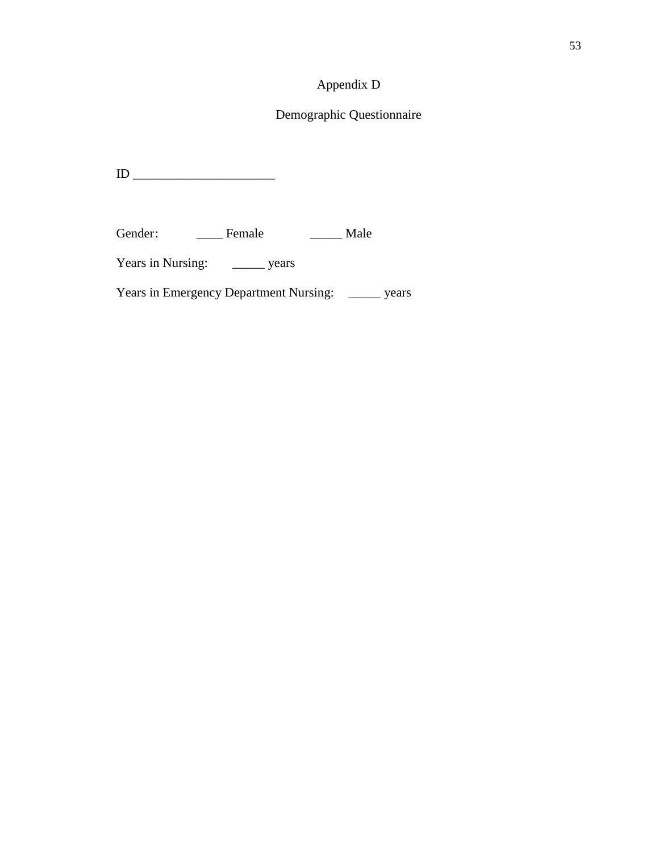# Appendix D

# Demographic Questionnaire

ID \_\_\_\_\_\_\_\_\_\_\_\_\_\_\_\_\_\_\_\_\_\_

Gender: \_\_\_\_\_\_ Female \_\_\_\_\_\_ Male

Years in Nursing: \_\_\_\_\_\_\_ years

Years in Emergency Department Nursing: \_\_\_\_\_ years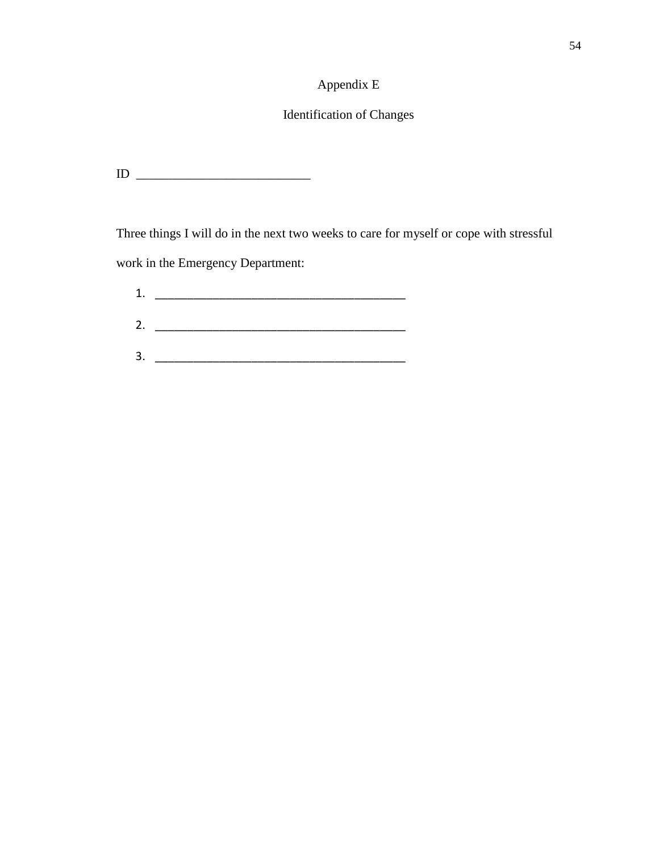# Appendix E

# Identification of Changes

 $ID \_$ 

Three things I will do in the next two weeks to care for myself or cope with stressful work in the Emergency Department:

| 1. |  |
|----|--|
|    |  |
| 2. |  |
|    |  |
| 3. |  |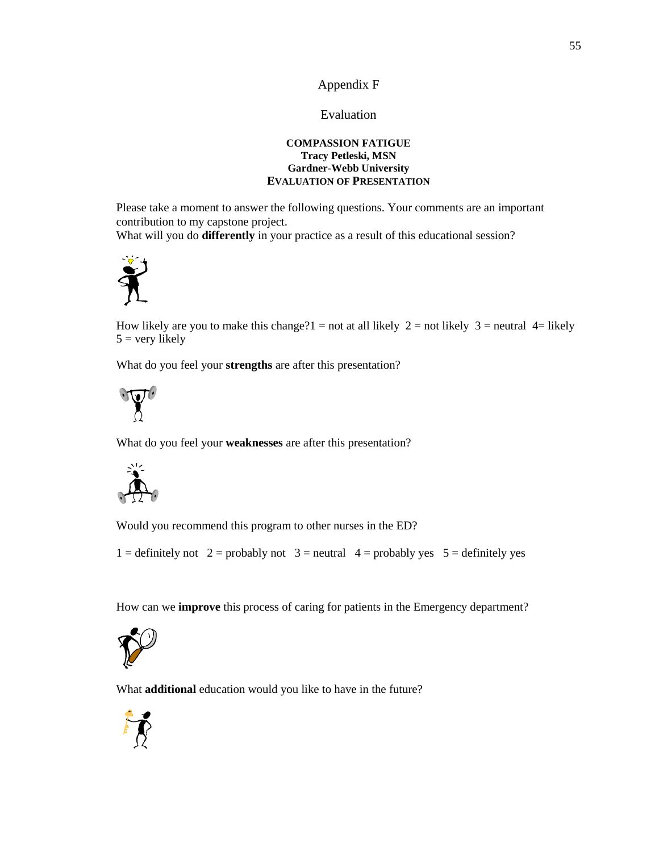#### Appendix F

#### Evaluation

#### **COMPASSION FATIGUE Tracy Petleski, MSN Gardner-Webb University EVALUATION OF PRESENTATION**

Please take a moment to answer the following questions. Your comments are an important contribution to my capstone project.

What will you do **differently** in your practice as a result of this educational session?



How likely are you to make this change?1 = not at all likely  $2 =$  not likely  $3 =$  neutral  $4 =$  likely  $5 =$  very likely

What do you feel your **strengths** are after this presentation?



What do you feel your **weaknesses** are after this presentation?



Would you recommend this program to other nurses in the ED?

1 = definitely not 2 = probably not 3 = neutral  $4$  = probably yes 5 = definitely yes

How can we **improve** this process of caring for patients in the Emergency department?



What **additional** education would you like to have in the future?

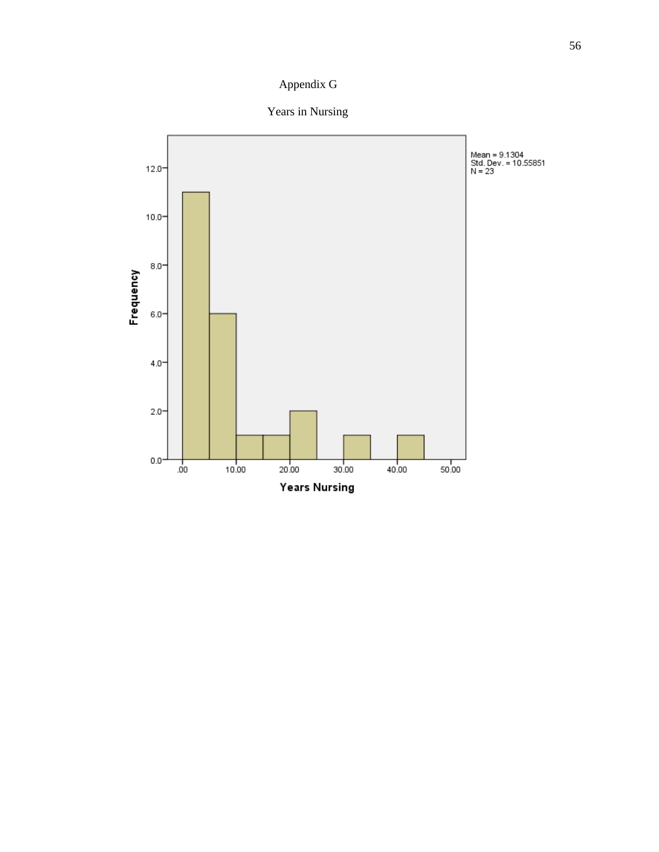# Appendix G

Years in Nursing

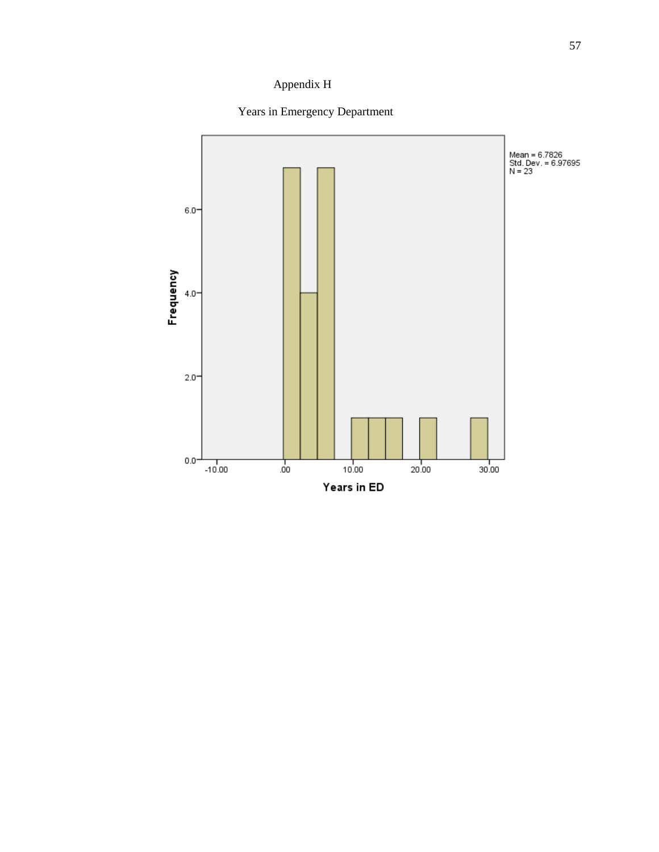# Appendix H



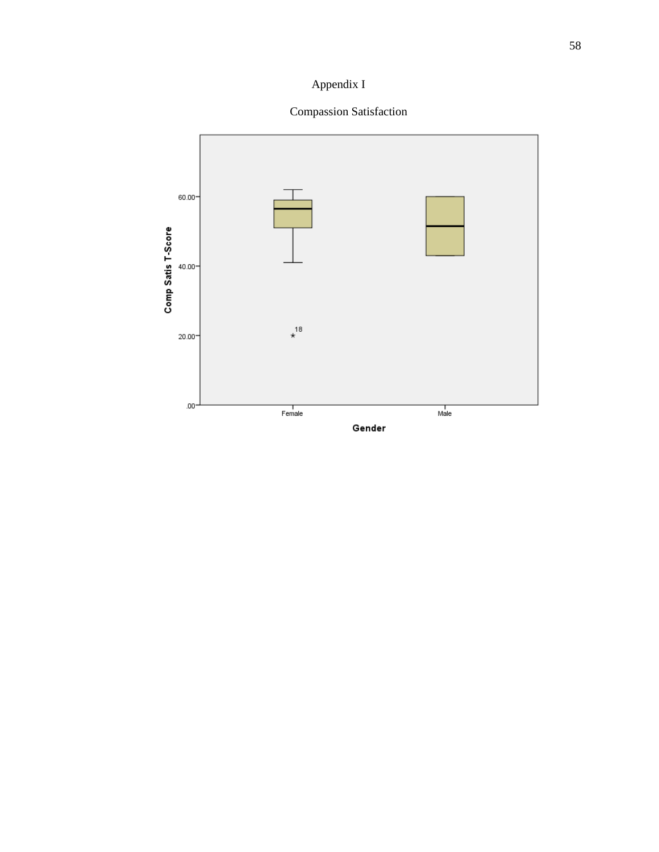# Appendix I

# Compassion Satisfaction

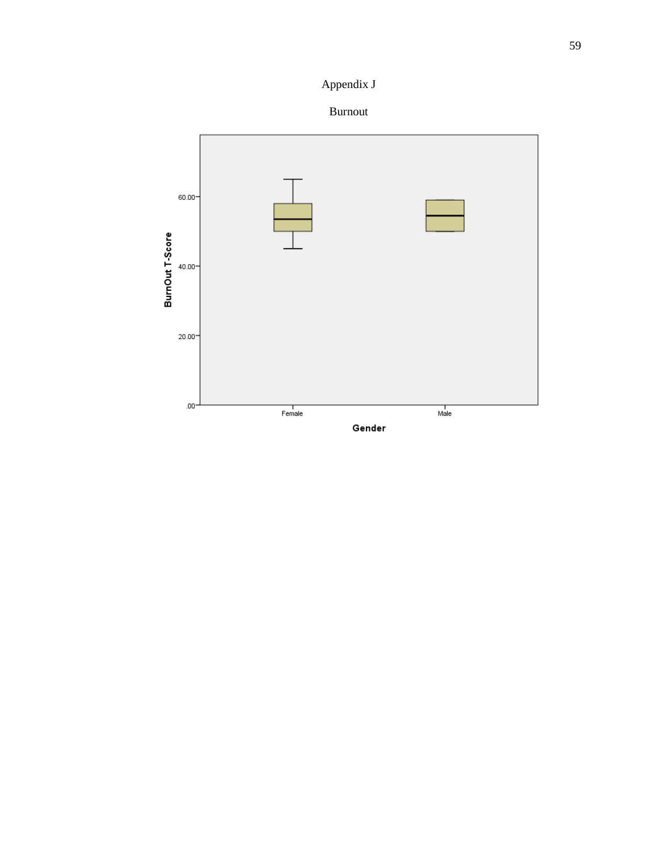Appendix J